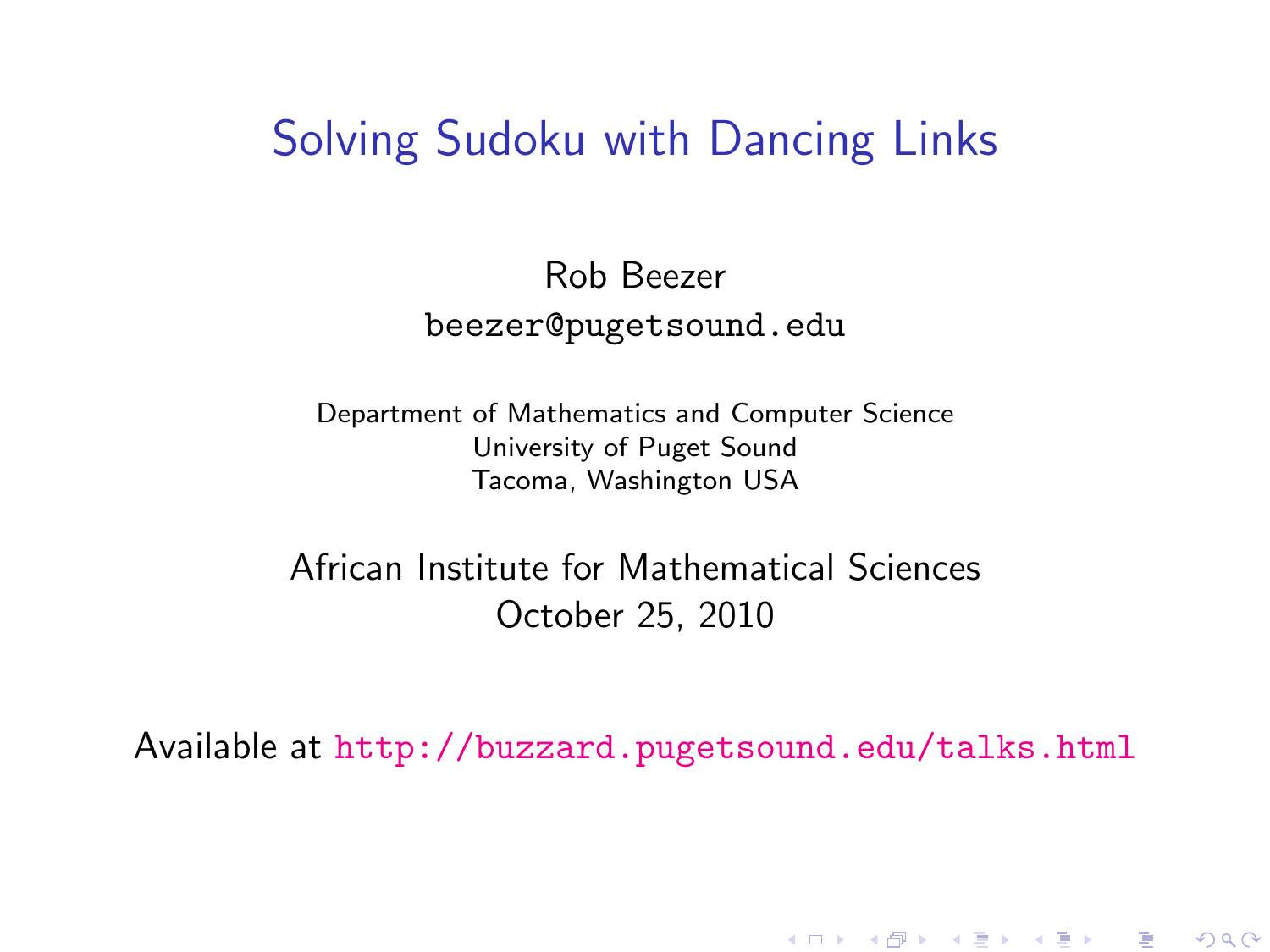### Solving Sudoku with Dancing Links

#### Rob Beezer beezer@pugetsound.edu

Department of Mathematics and Computer Science University of Puget Sound Tacoma, Washington USA

African Institute for Mathematical Sciences October 25, 2010

<span id="page-0-0"></span>Available at <http://buzzard.pugetsound.edu/talks.html>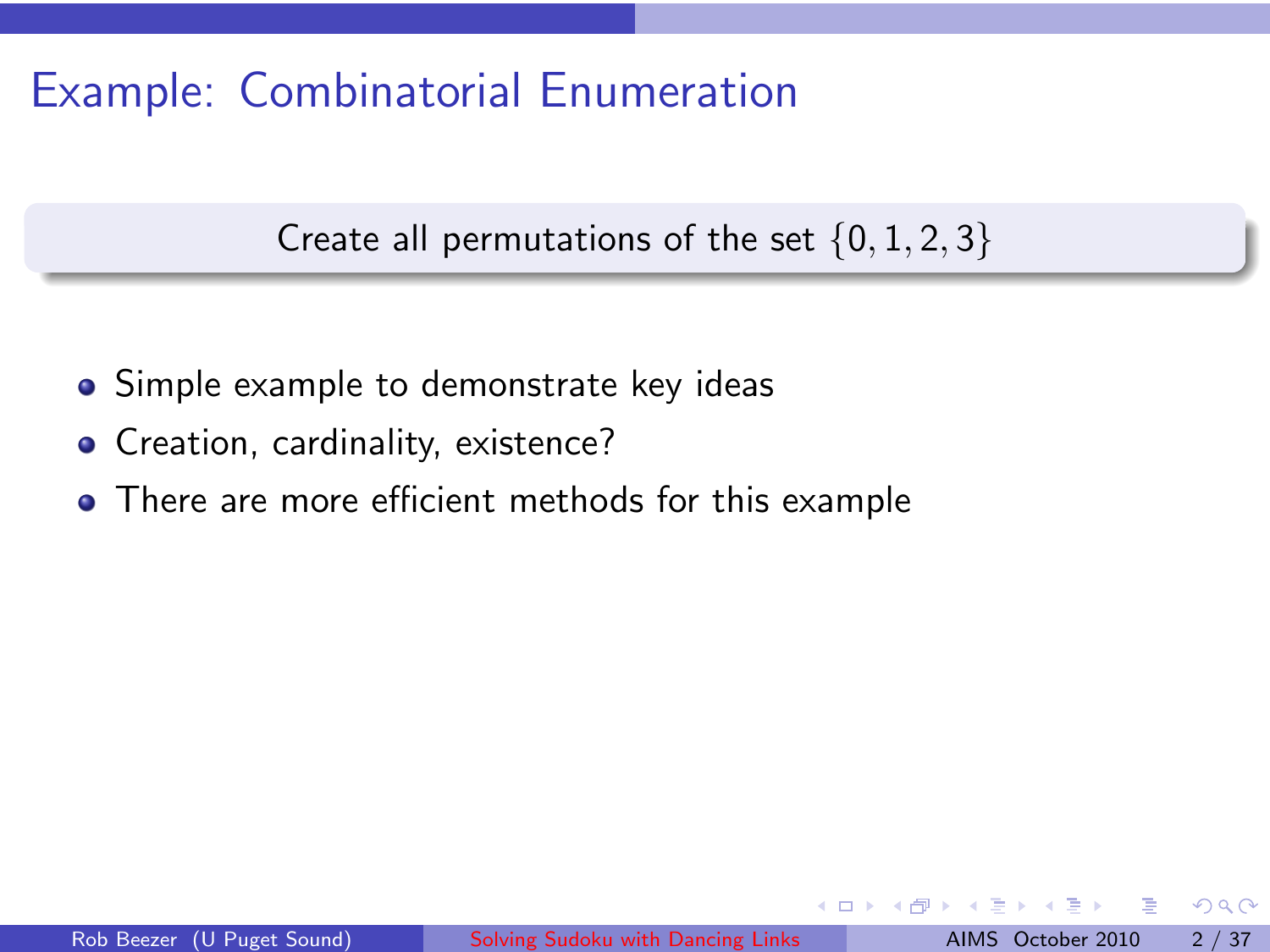# Example: Combinatorial Enumeration

Create all permutations of the set  $\{0, 1, 2, 3\}$ 

- Simple example to demonstrate key ideas
- Creation, cardinality, existence?
- There are more efficient methods for this example

 $QQ$ 

4.000

 $+$   $-$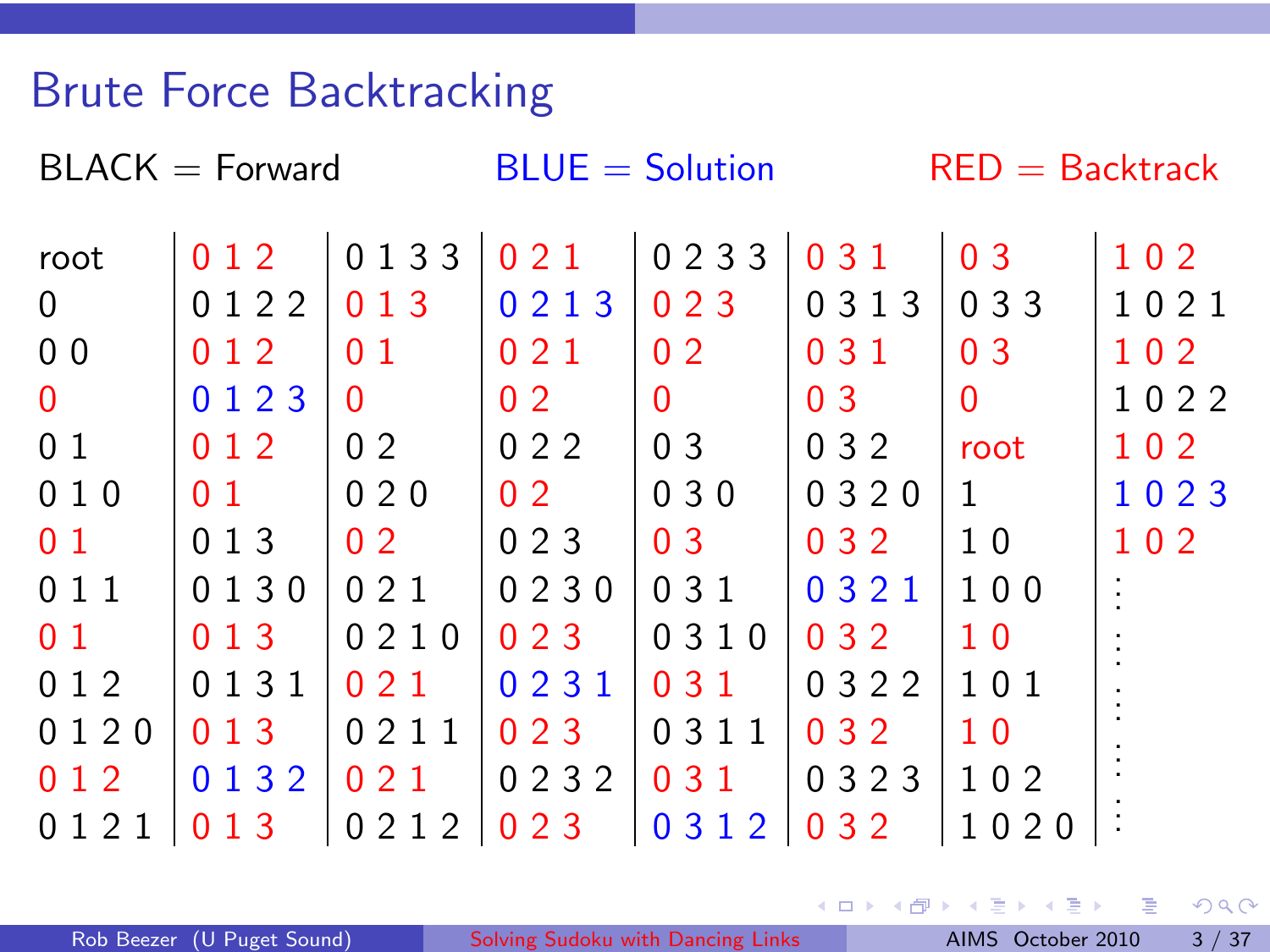## Brute Force Backtracking

| $BLACK = Forward$ |                |                   |                | $BLUE = Solution$ |                | $RED = Backtrack$ |      |  |  |
|-------------------|----------------|-------------------|----------------|-------------------|----------------|-------------------|------|--|--|
| root              | 012            | 0 1 3 3           | 021            | 0233              | 0 3 1          | 0 <sub>3</sub>    | 102  |  |  |
| $\mathbf 0$       | 0122           | 013               | 0213           | 023               | 0 3 1 3        | 0 3 3             | 1021 |  |  |
| 0 <sub>0</sub>    | 012            | 0 <sub>1</sub>    | 021            | 0 <sub>2</sub>    | 031            | 0 <sub>3</sub>    | 102  |  |  |
| $\mathbf{0}$      | 0 1 2 3        | 0                 | 0 <sub>2</sub> | 0                 | 0 <sub>3</sub> | 0                 | 1022 |  |  |
| 01                | 012            | 0 <sub>2</sub>    | 022            | 0 <sub>3</sub>    | 0 3 2          | root              | 102  |  |  |
| 010               | 0 <sub>1</sub> | 020               | 0 <sub>2</sub> | 030               | 0 3 2 0        | 1                 | 1023 |  |  |
| 0 <sub>1</sub>    | 013            | 0 <sub>2</sub>    | 023            | 0 <sub>3</sub>    | 0 3 2          | 10                | 102  |  |  |
| 011               | 0130           | 021               | 0230           | 0 3 1             | 0 3 2 1        | 100               |      |  |  |
| 0 <sub>1</sub>    | 013            | 0210              | 023            | 0310              | 0 3 2          | 1 <sub>0</sub>    |      |  |  |
| 0 1 2             | 0 1 3 1        | 021               | 0231           | 031               | 0 3 2 2        | 101               |      |  |  |
| 0120              | 013            | 0211              | 023            | 0 3 1 1           | 0 3 2          | 1 <sub>0</sub>    |      |  |  |
| 0 1 2             | 0132           | 021               | 0232           | 031               | 0323           | 102               |      |  |  |
| 0121              | 0<br>13        | 2 1 2<br>$\Omega$ | 023            | 0 3 1 2           | 032            | 1020              |      |  |  |

重

×. × ×.  $\equiv$ 

 $299$ 

(ロ) ( d )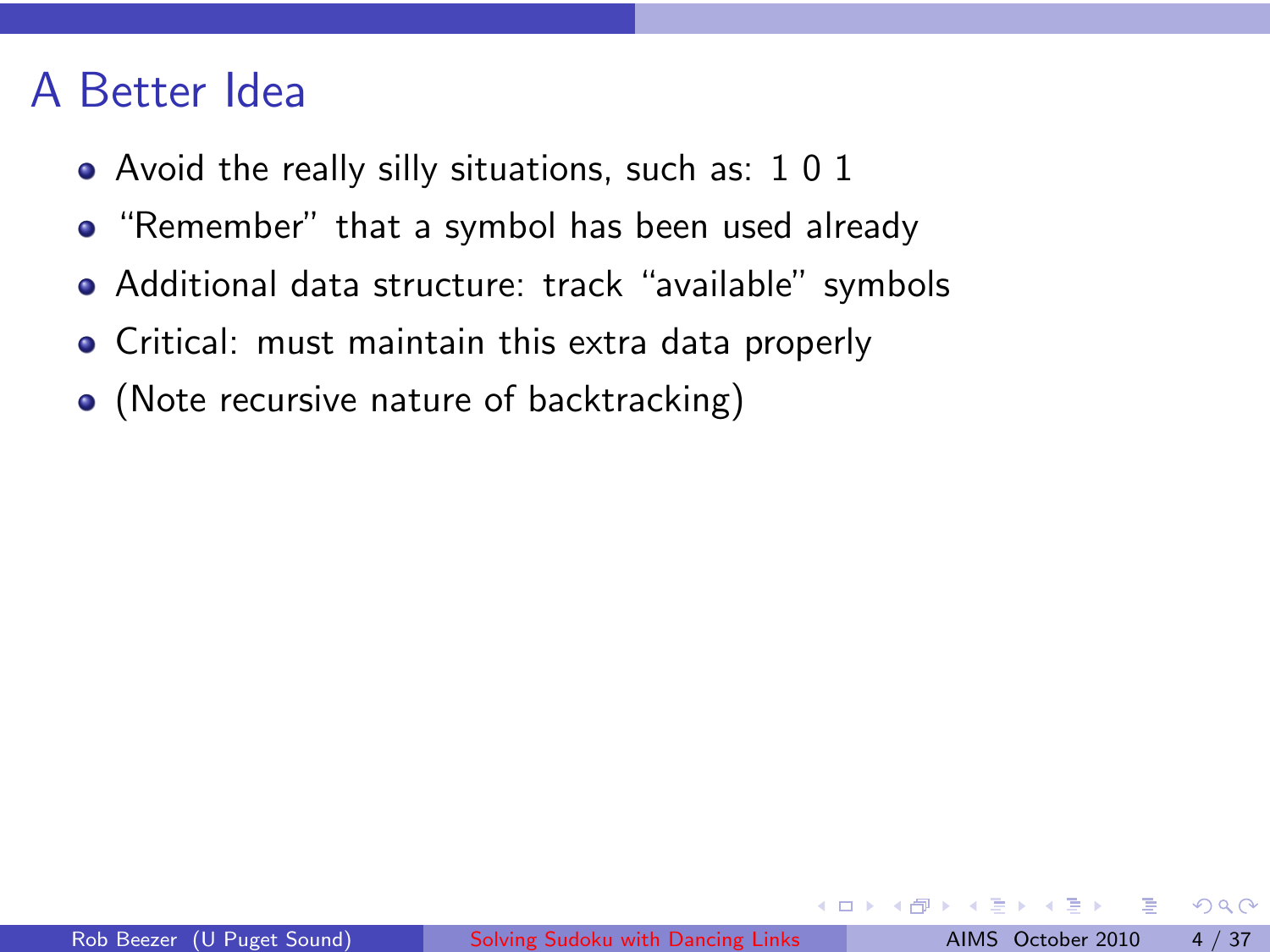### A Better Idea

- Avoid the really silly situations, such as: 1 0 1
- "Remember" that a symbol has been used already
- Additional data structure: track "available" symbols
- Critical: must maintain this extra data properly
- (Note recursive nature of backtracking)

∢ Al

 $2Q$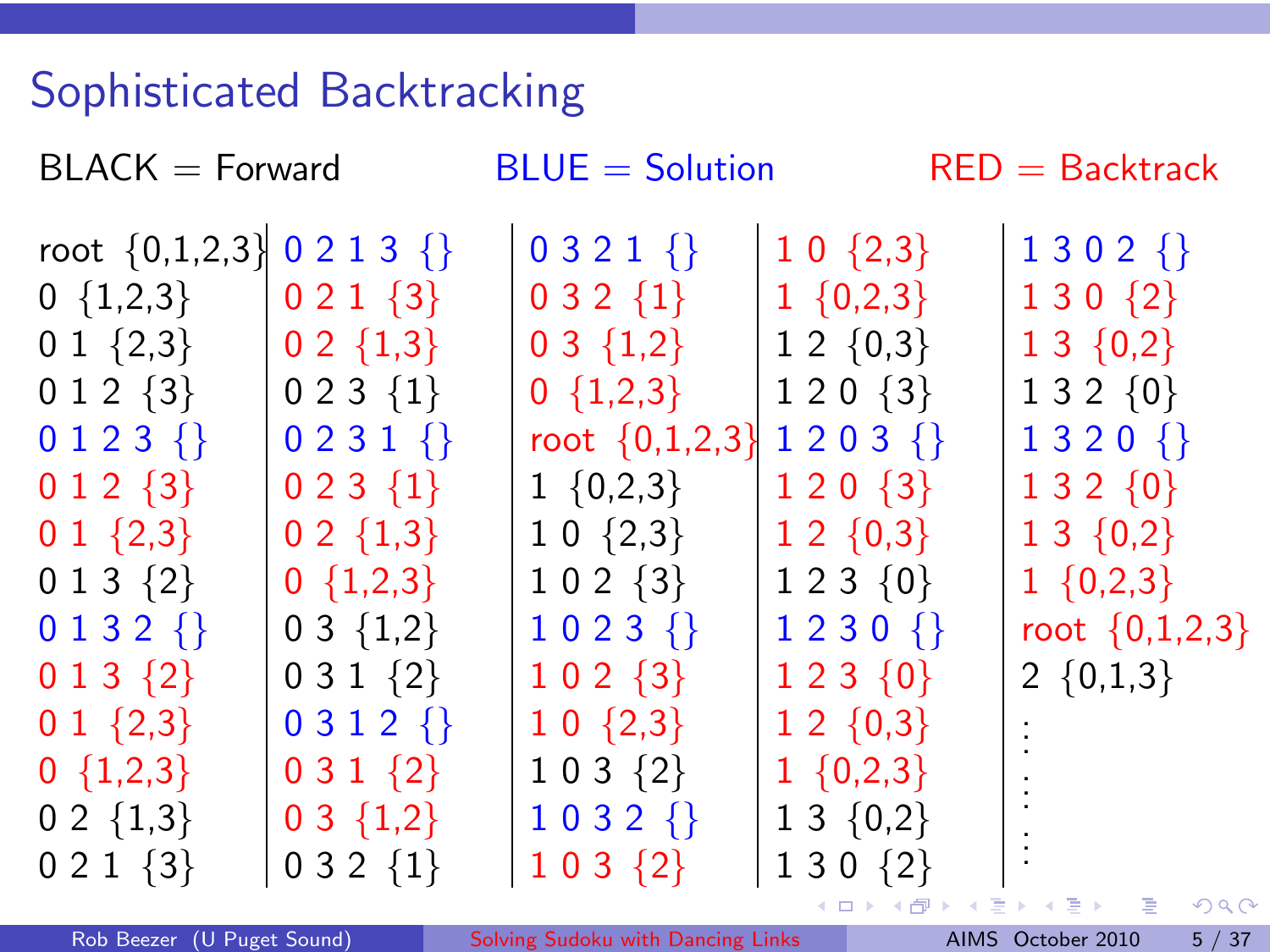# Sophisticated Backtracking

| $BLACK = Forward$   |                     | $BLUE = Solution$  |                     | $RED = Backtrack$       |  |  |  |
|---------------------|---------------------|--------------------|---------------------|-------------------------|--|--|--|
| root $\{0,1,2,3\}$  | $0213$ {}           | $0321$ {}          | $10\{2,3\}$         | $1302$ {}               |  |  |  |
| $0 \{1,2,3\}$       | $021 \{3\}$         | $032\{1\}$         | $1 \{0,2,3\}$       | $130\{2\}$              |  |  |  |
| 0 1 $\{2,3\}$       | $0 \; 2 \; \{1,3\}$ | $03 \{1,2\}$       | $1\;2\; \{0,3\}$    | $13 \{0,2\}$            |  |  |  |
| $012\{3\}$          | $023\{1\}$          | $0 \{1,2,3\}$      | $120\{3\}$          | $132\{0\}$              |  |  |  |
| $0123$ {}           | $0231$ {}           | root $\{0,1,2,3\}$ | $1203$ {}           | $1320$ {}               |  |  |  |
| $0 1 2 \{3\}$       | $023 \{1\}$         | $1 \{0,2,3\}$      | $1\ 2\ 0\ \{3\}$    | $132\{0\}$              |  |  |  |
| $0 1 \{2,3\}$       | $0 2 \{1,3\}$       | $1 0 \{2,3\}$      | $12 \{0,3\}$        | $13 \{0,2\}$            |  |  |  |
| $013\{2\}$          | $0 \{1,2,3\}$       | $102 \{3\}$        | $1\;2\;3\; \{0\}$   | $1 \{0,2,3\}$           |  |  |  |
| $0132$ {}           | $03 \{1,2\}$        | $1023$ {}          | $1230$ {}           | root $\{0,1,2,3\}$      |  |  |  |
| $013\{2\}$          | $031\{2\}$          | $102 \{3\}$        | $123\{0\}$          | 2 $\{0,1,3\}$           |  |  |  |
| $0 1 \{2,3\}$       | $0312$ {}           | $10\{2,3\}$        | $12 \{0,3\}$        |                         |  |  |  |
| $0 \{1,2,3\}$       | $031\{2\}$          | $103 \{2\}$        | $1 \{0,2,3\}$       |                         |  |  |  |
| $0 \; 2 \; \{1,3\}$ | $03 \{1,2\}$        | $1032$ {}          | $1 \; 3 \; \{0,2\}$ |                         |  |  |  |
| $021\{3\}$          | $032\{1\}$          | $103\{2\}$         | $130\{2\}$          |                         |  |  |  |
|                     |                     |                    |                     | メロト メタト・メモト メモト ニモー めんぴ |  |  |  |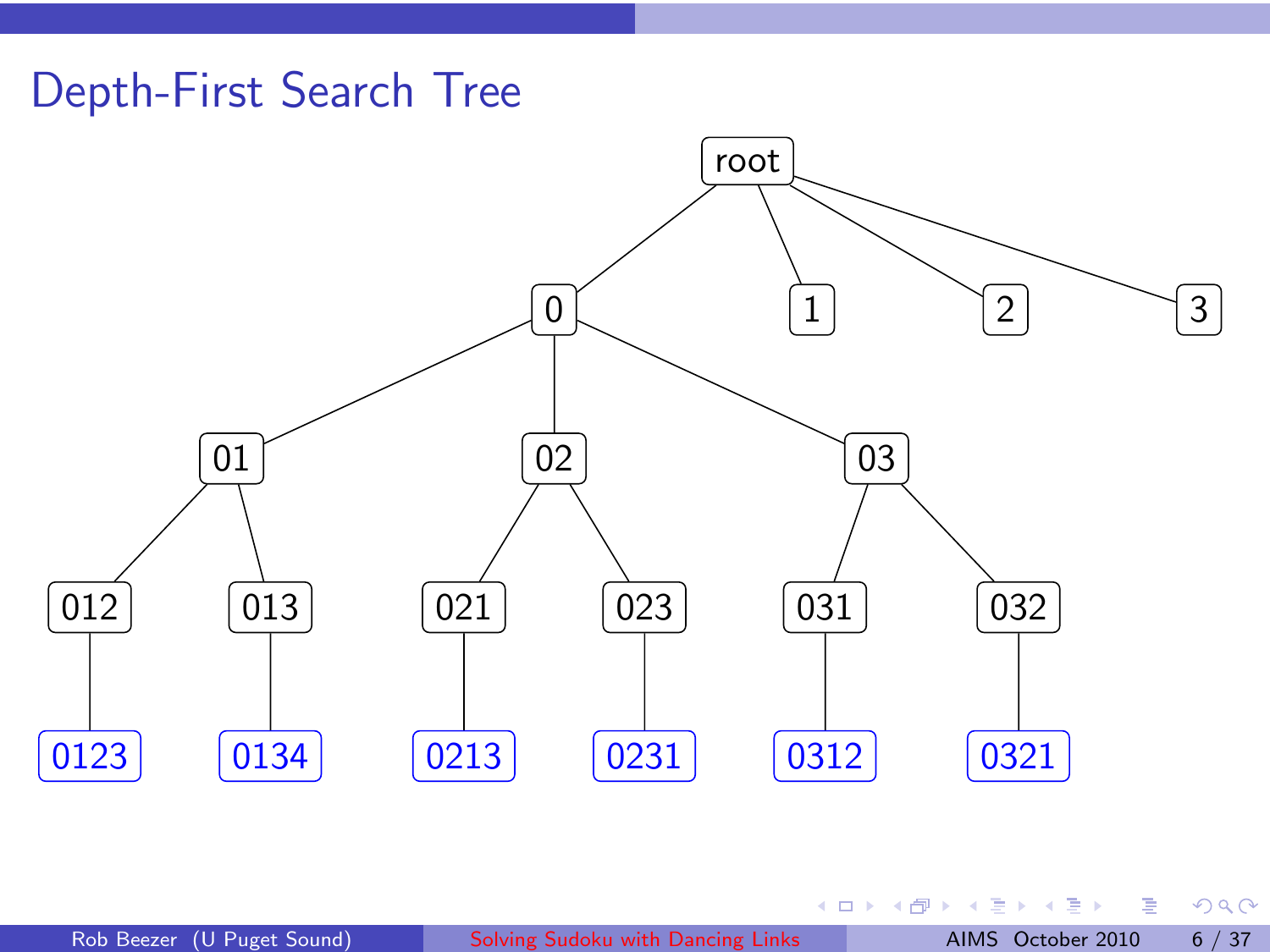# Depth-First Search Tree



Ε

重

(ロ) ( d )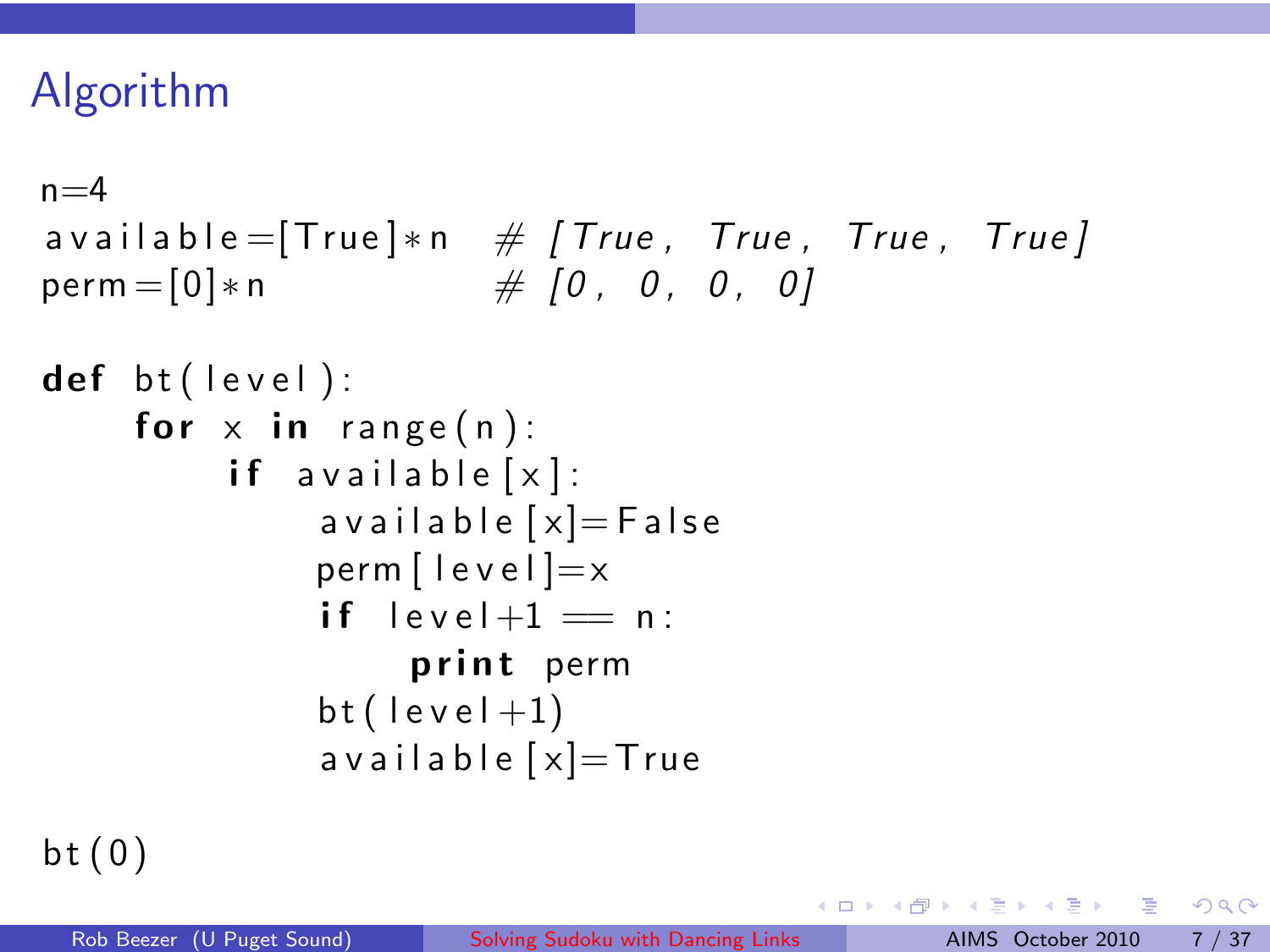# Algorithm

```
n=4available = [True] * n \# [True, True, True, True, True]perm = [0]*n # [0, 0, 0, 0]def \; bt (level):
for x in range(n):
     if available [x]:
         a v a i l a b l e [x]=F a l s e
         perm [ lev e l ] =xif level +1 = n:
              print perm
         bt (level +1)a v a i l a b l e [x]=True
```
 $bt(0)$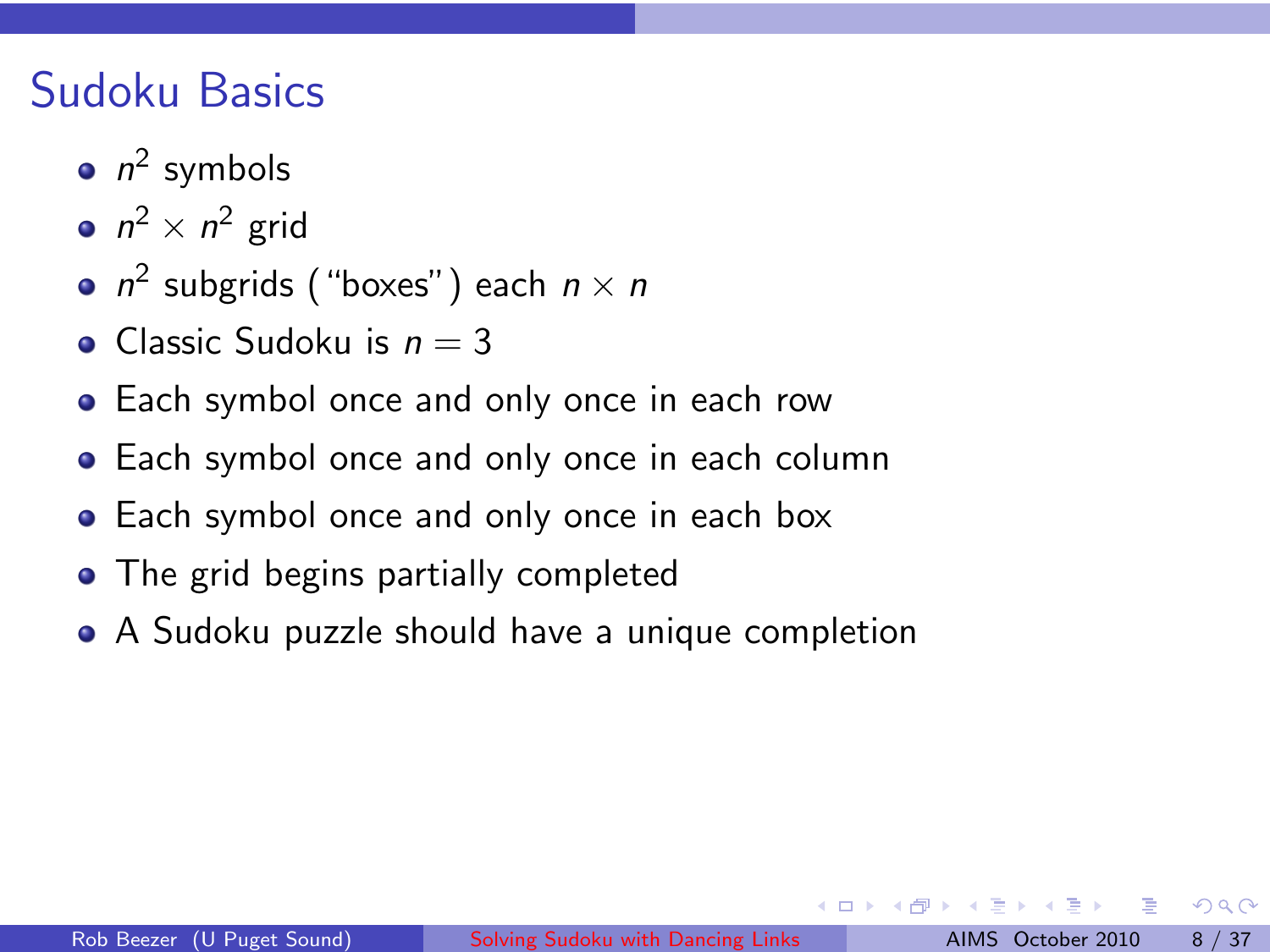# Sudoku Basics

- $n^2$  symbols
- $n^2 \times n^2$  grid
- $n^2$  subgrids ("boxes") each  $n \times n$
- Classic Sudoku is  $n = 3$
- **•** Each symbol once and only once in each row
- **•** Each symbol once and only once in each column
- **•** Each symbol once and only once in each box
- The grid begins partially completed
- A Sudoku puzzle should have a unique completion

 $QQ$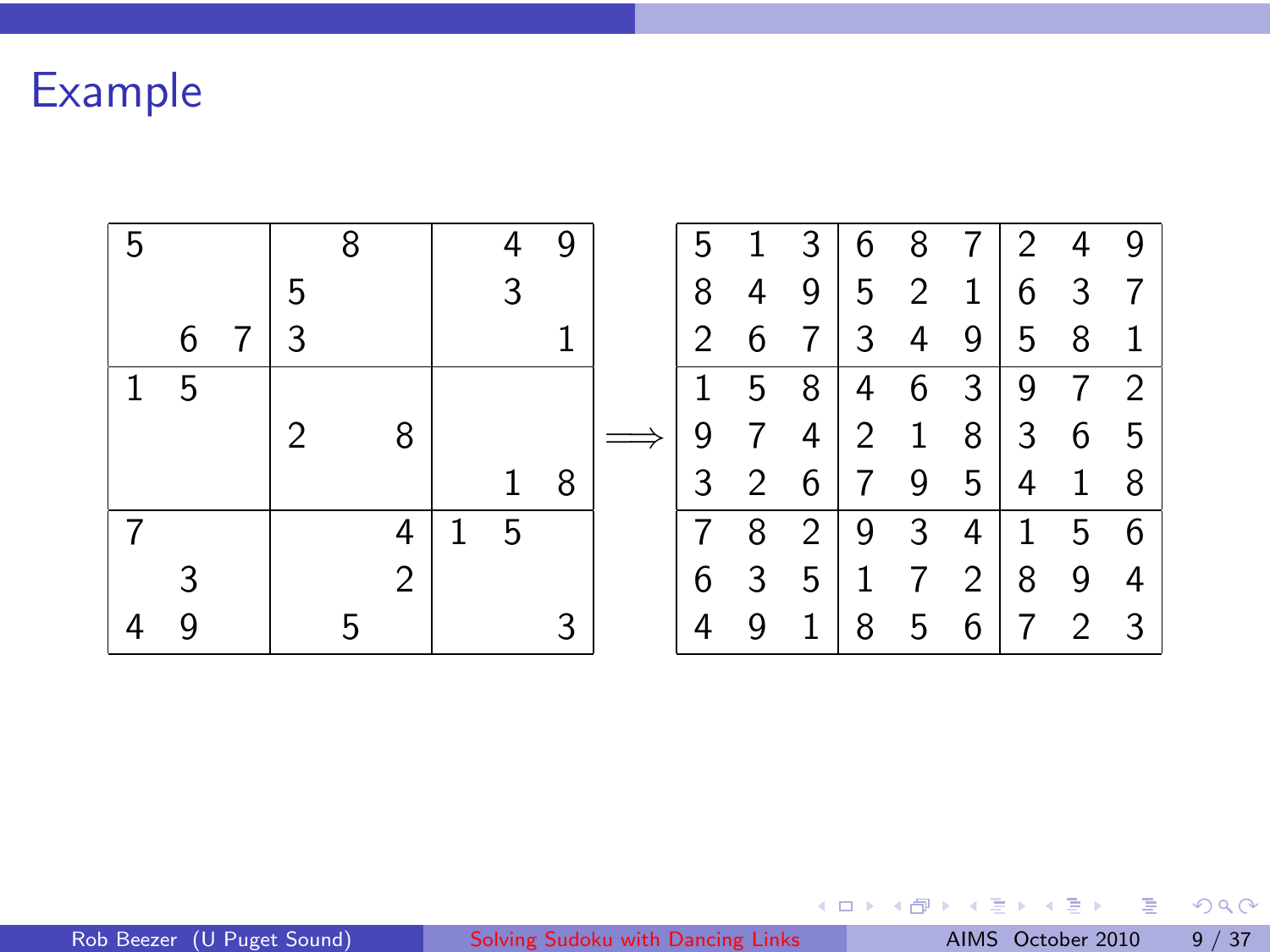Example

| 5 |   |   |   | 8 |   | 4 | 9 | 5 |                | 3              | 6              | 8            | 7            | 2 | 4              | 9              |
|---|---|---|---|---|---|---|---|---|----------------|----------------|----------------|--------------|--------------|---|----------------|----------------|
|   |   |   | 5 |   |   | 3 |   | 8 | 4              | 9              | 5              | 2            | $\mathbf{1}$ | 6 | 3              | $\overline{7}$ |
|   | 6 | 7 | 3 |   |   |   |   | 2 | 6              | 7              | 3              | 4            | 9            | 5 | 8              | $\mathbf{1}$   |
|   | 5 |   |   |   |   |   |   | 1 | 5              | 8              | 4              | 6            | 3            | 9 | $\overline{7}$ | 2              |
|   |   |   | 2 |   | 8 |   |   | 9 | 7              | 4              | $\overline{2}$ | $\mathbf{1}$ | 8            | 3 | 6              | 5              |
|   |   |   |   |   |   | 1 | 8 | 3 | $\overline{2}$ | 6              | 7              | 9            | 5            | 4 | 1              | 8              |
|   |   |   |   |   | 4 | 5 |   | 7 | 8              | $\overline{2}$ | 9              | 3            | 4            | 1 | 5              | 6              |
|   |   |   |   |   | 2 |   |   | 6 | 3              | 5              | 1              | 7            | 2            | 8 | 9              | 4              |
|   |   |   |   | ҕ |   |   |   | 4 | 9              | 1              | 8              | 5            | 6            | 7 | 2              | -3             |

 $2990$ 

メロトメ 御 メメ きょくきょうき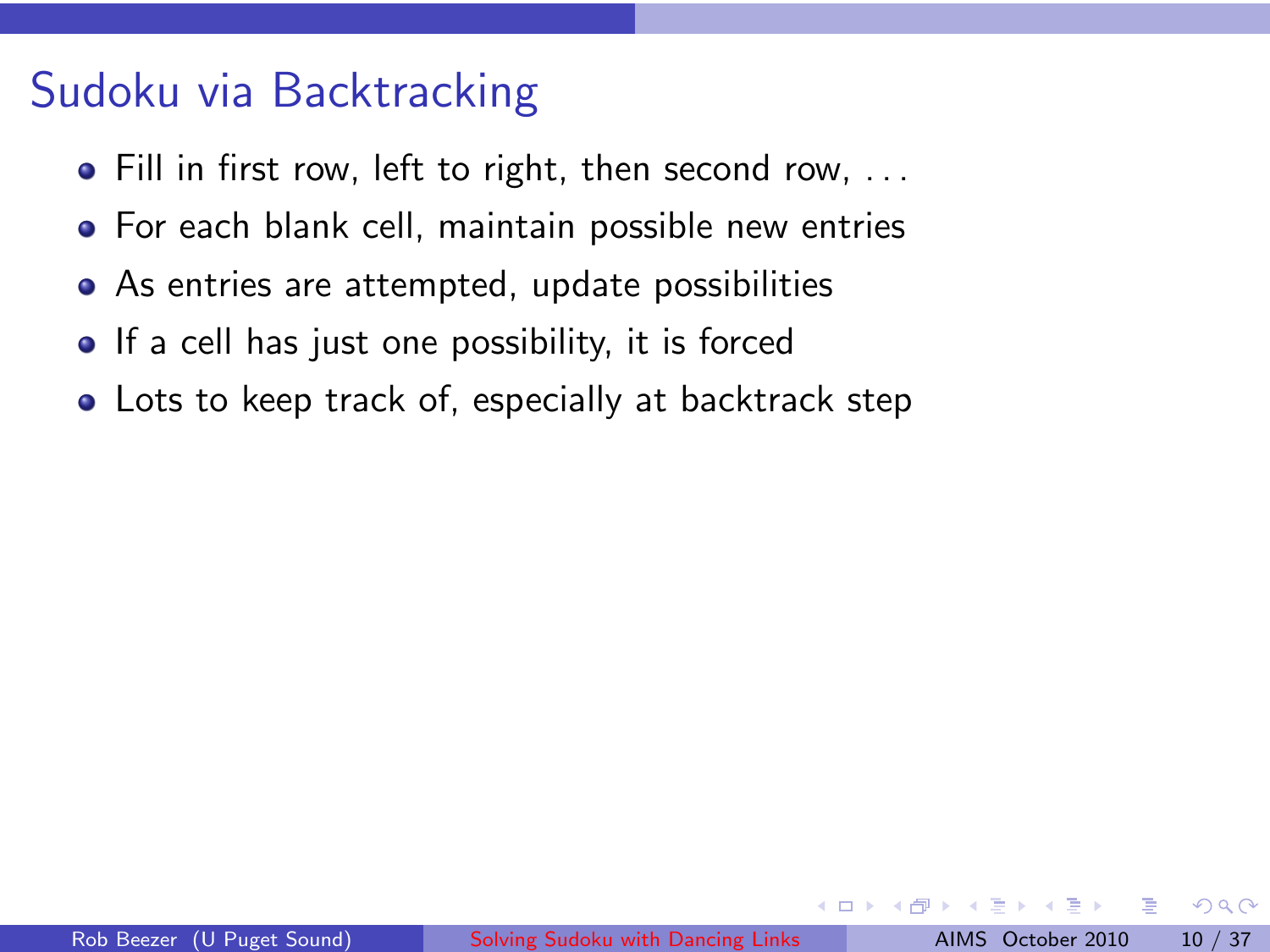# Sudoku via Backtracking

- Fill in first row, left to right, then second row, ...
- **•** For each blank cell, maintain possible new entries
- As entries are attempted, update possibilities
- If a cell has just one possibility, it is forced
- Lots to keep track of, especially at backtrack step

つひひ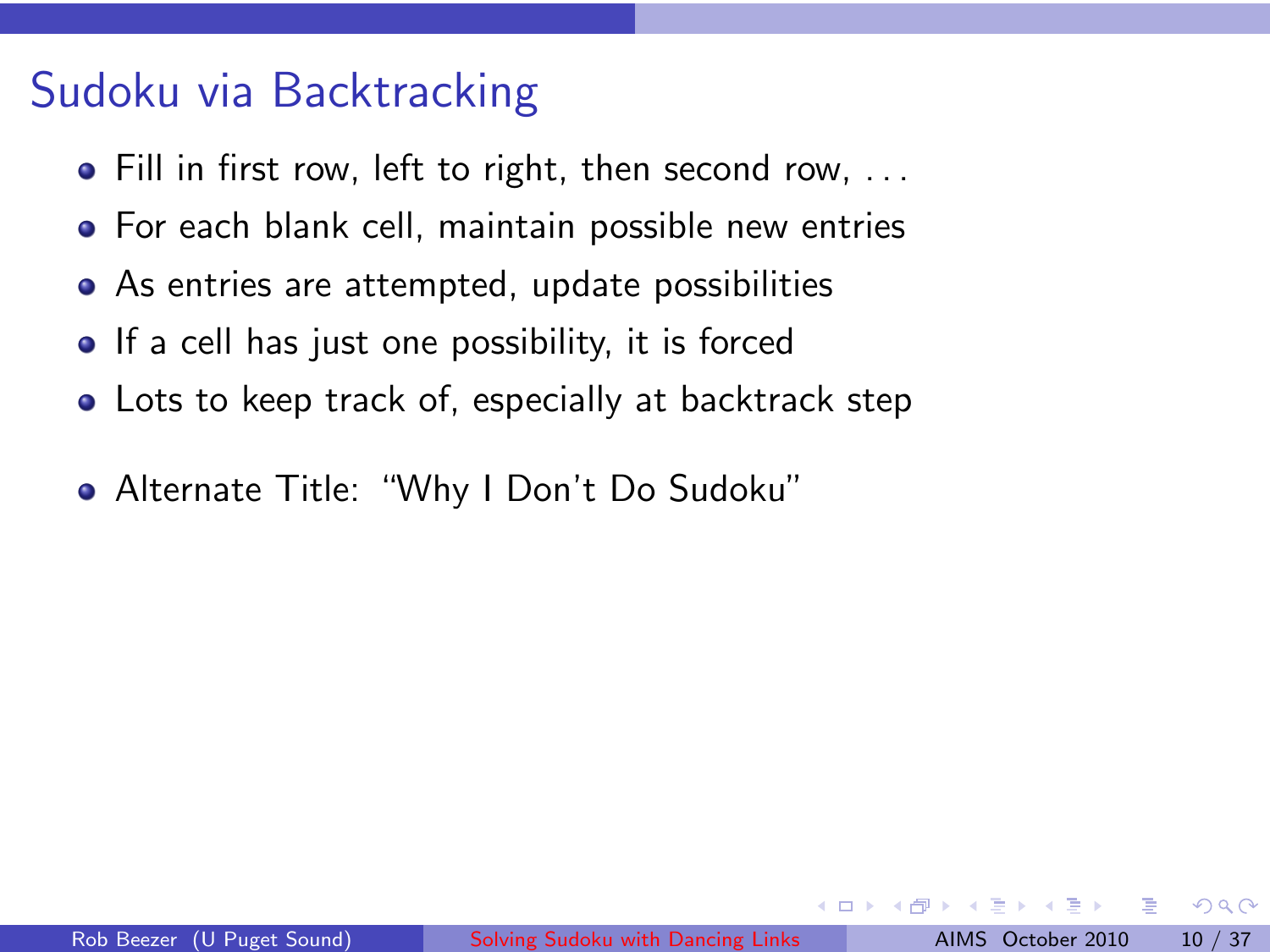# Sudoku via Backtracking

- Fill in first row, left to right, then second row, ...
- **•** For each blank cell, maintain possible new entries
- As entries are attempted, update possibilities
- If a cell has just one possibility, it is forced
- Lots to keep track of, especially at backtrack step
- Alternate Title: "Why I Don't Do Sudoku"

つひひ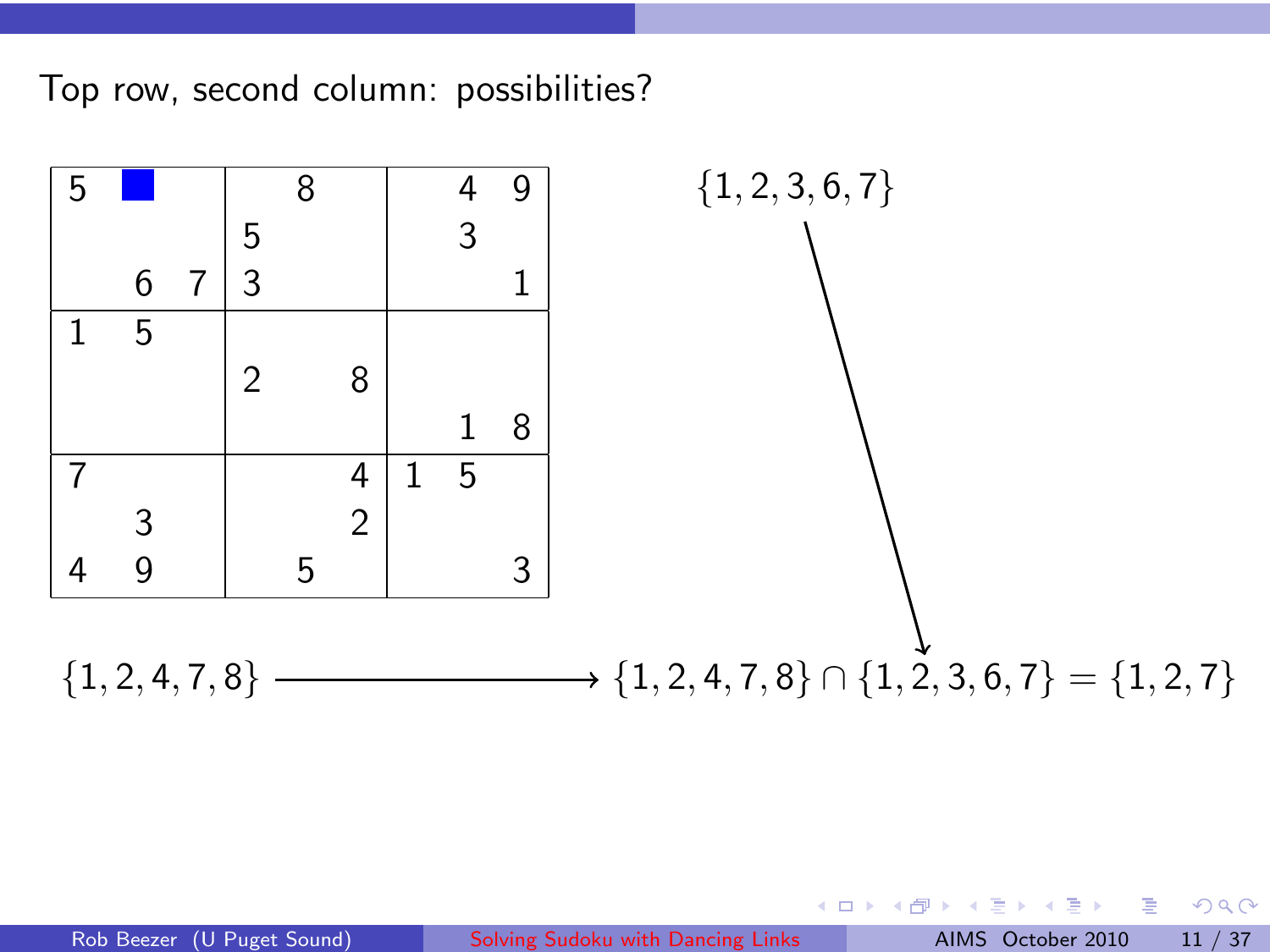Top row, second column: possibilities?



4 0 8 ∢ ⊕ 重

 $2Q$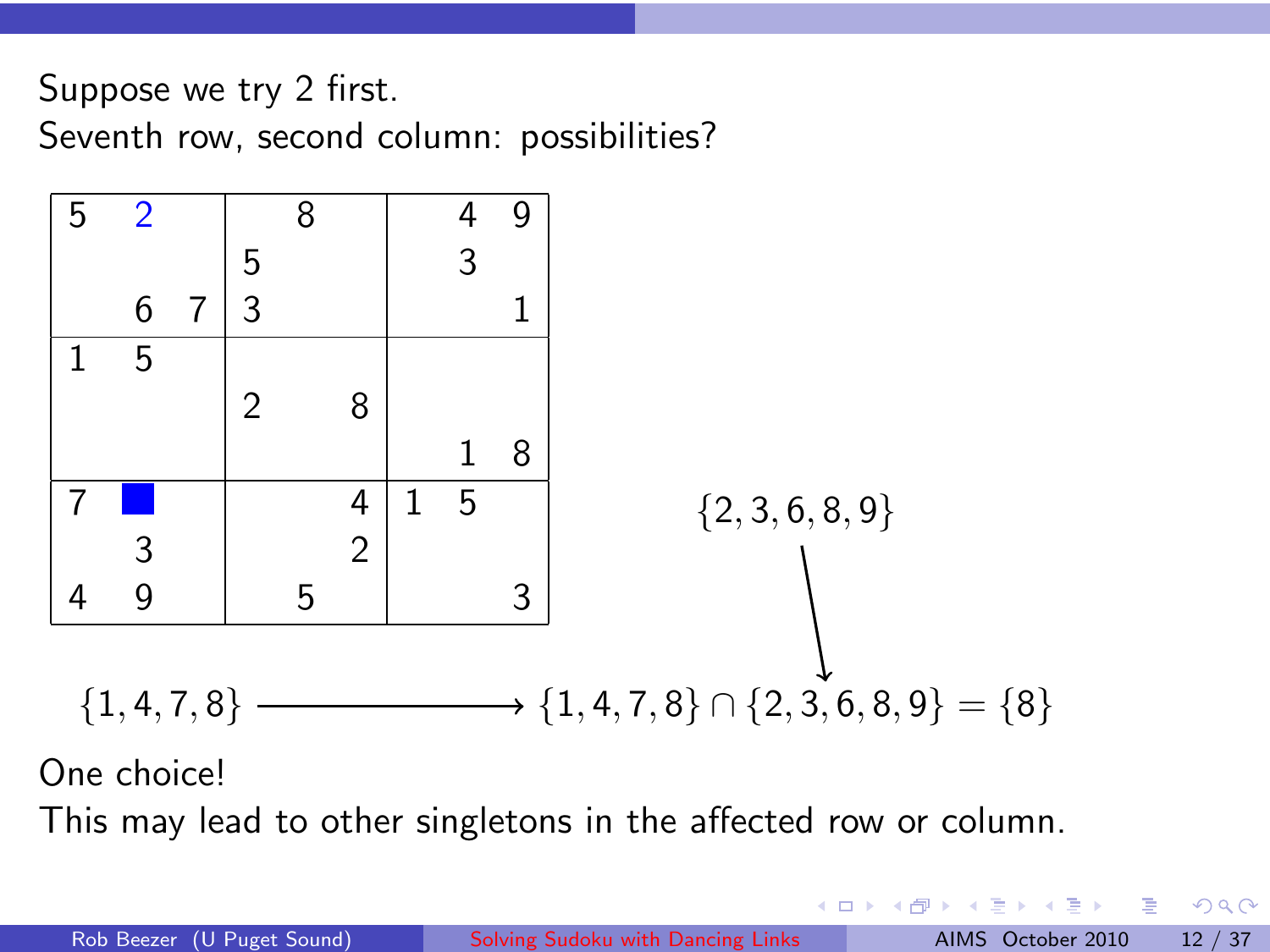Suppose we try 2 first.

Seventh row, second column: possibilities?



One choice!

This may lead to other singletons in the affected row or column.

4 0 8 → 母 → 重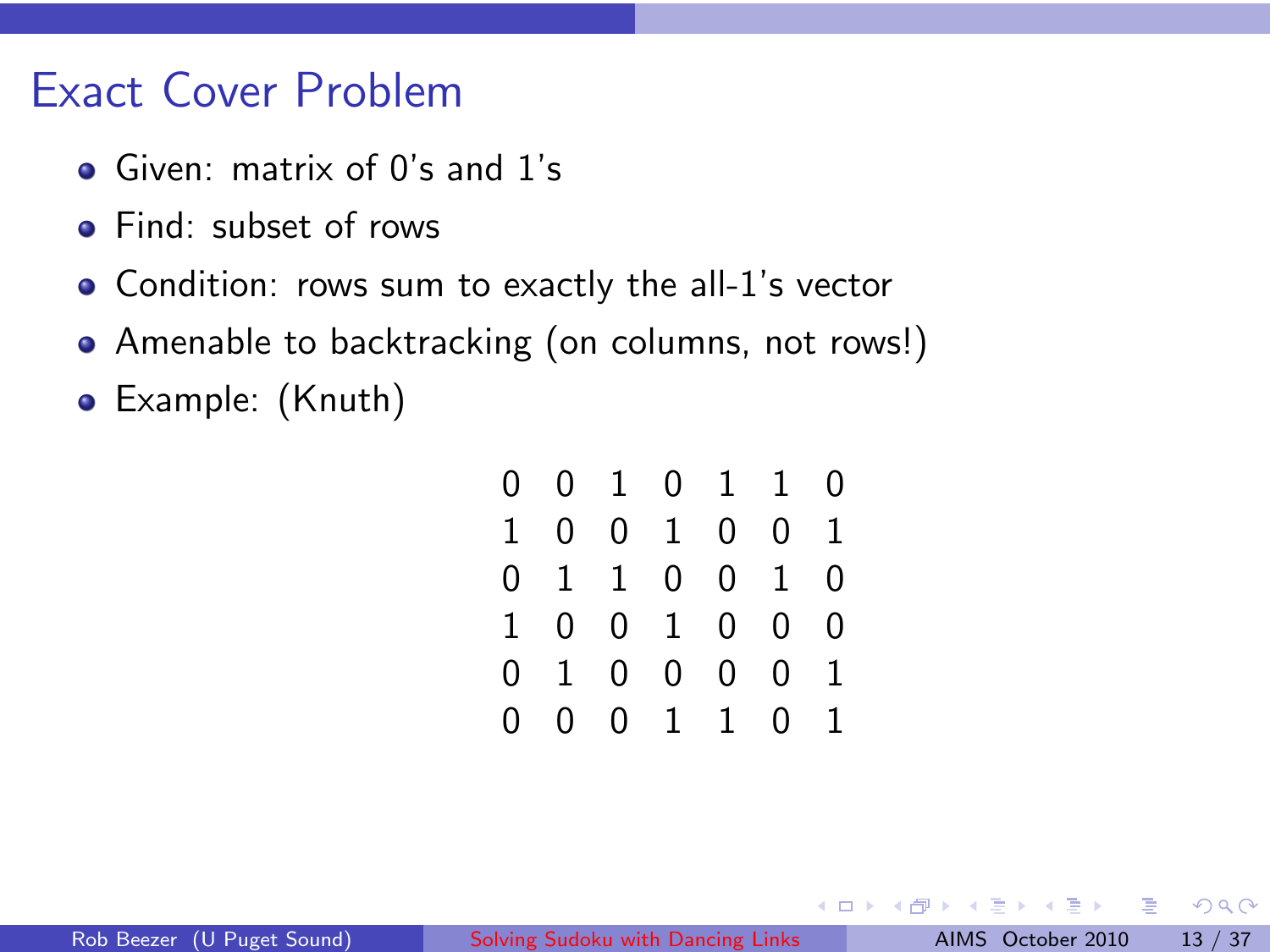### Exact Cover Problem

- Given: matrix of 0's and 1's
- **•** Find: subset of rows
- Condition: rows sum to exactly the all-1's vector
- Amenable to backtracking (on columns, not rows!)
- Example: (Knuth)

|   | 0 0 1 0 1 1 0 |  |             |  |
|---|---------------|--|-------------|--|
|   | 1 0 0 1 0 0 1 |  |             |  |
|   | 0 1 1 0 0 1 0 |  |             |  |
|   | 1 0 0 1 0 0 0 |  |             |  |
|   | 0 1 0 0 0 0 1 |  |             |  |
| 0 |               |  | 0 0 1 1 0 1 |  |

4 0 8 ∢ Al 重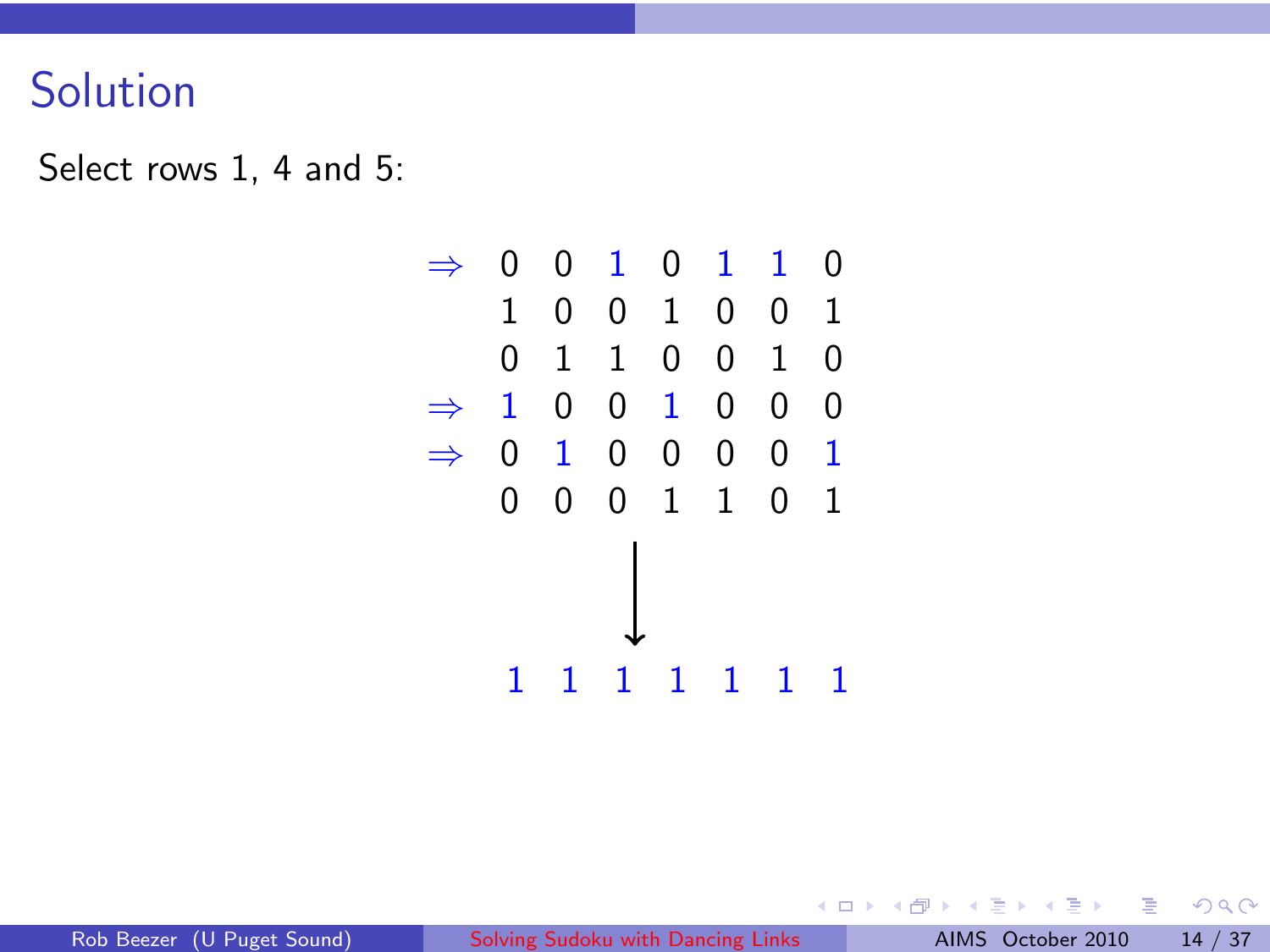## Solution

Select rows 1, 4 and 5:



4 0 F ∢ 伊 Ħ

活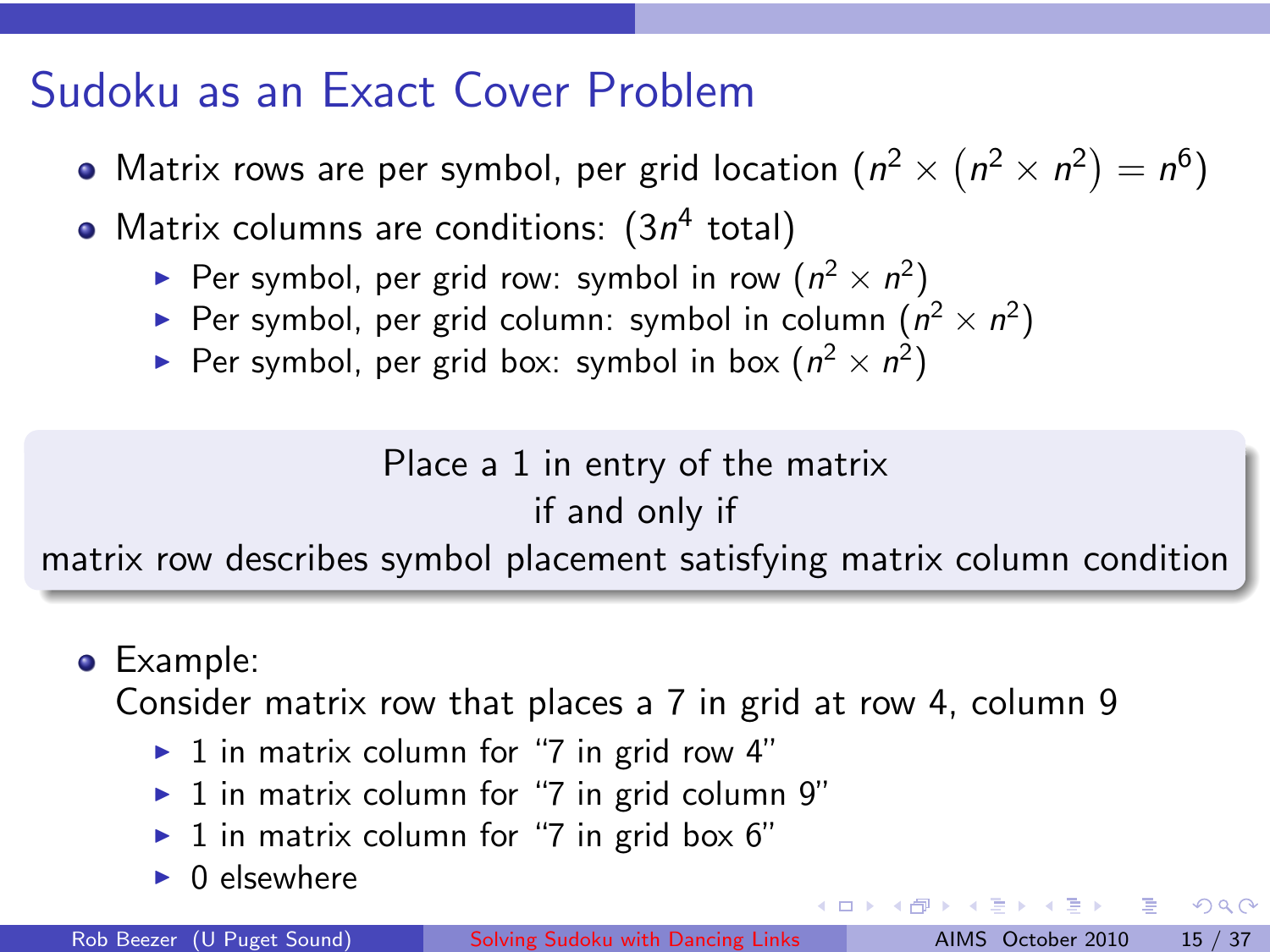## Sudoku as an Exact Cover Problem

- Matrix rows are per symbol, per grid location  $(n^2 \times (n^2 \times n^2) = n^6)$
- Matrix columns are conditions:  $(3n^4 \text{ total})$ 
	- Per symbol, per grid row: symbol in row  $(n^2 \times n^2)$
	- Per symbol, per grid column: symbol in column  $(n^2 \times n^2)$
	- Per symbol, per grid box: symbol in box  $(n^2 \times n^2)$

Place a 1 in entry of the matrix if and only if

matrix row describes symbol placement satisfying matrix column condition

**•** Example:

Consider matrix row that places a 7 in grid at row 4, column 9

- $\triangleright$  1 in matrix column for "7 in grid row 4"
- $\blacktriangleright$  1 in matrix column for "7 in grid column 9"
- $\blacktriangleright$  1 in matrix column for "7 in grid box 6"
- $\triangleright$  0 elsewhere

 $\equiv$  040

 $4$  ロ )  $4$  何 )  $4$  ミ )  $4$  ( = )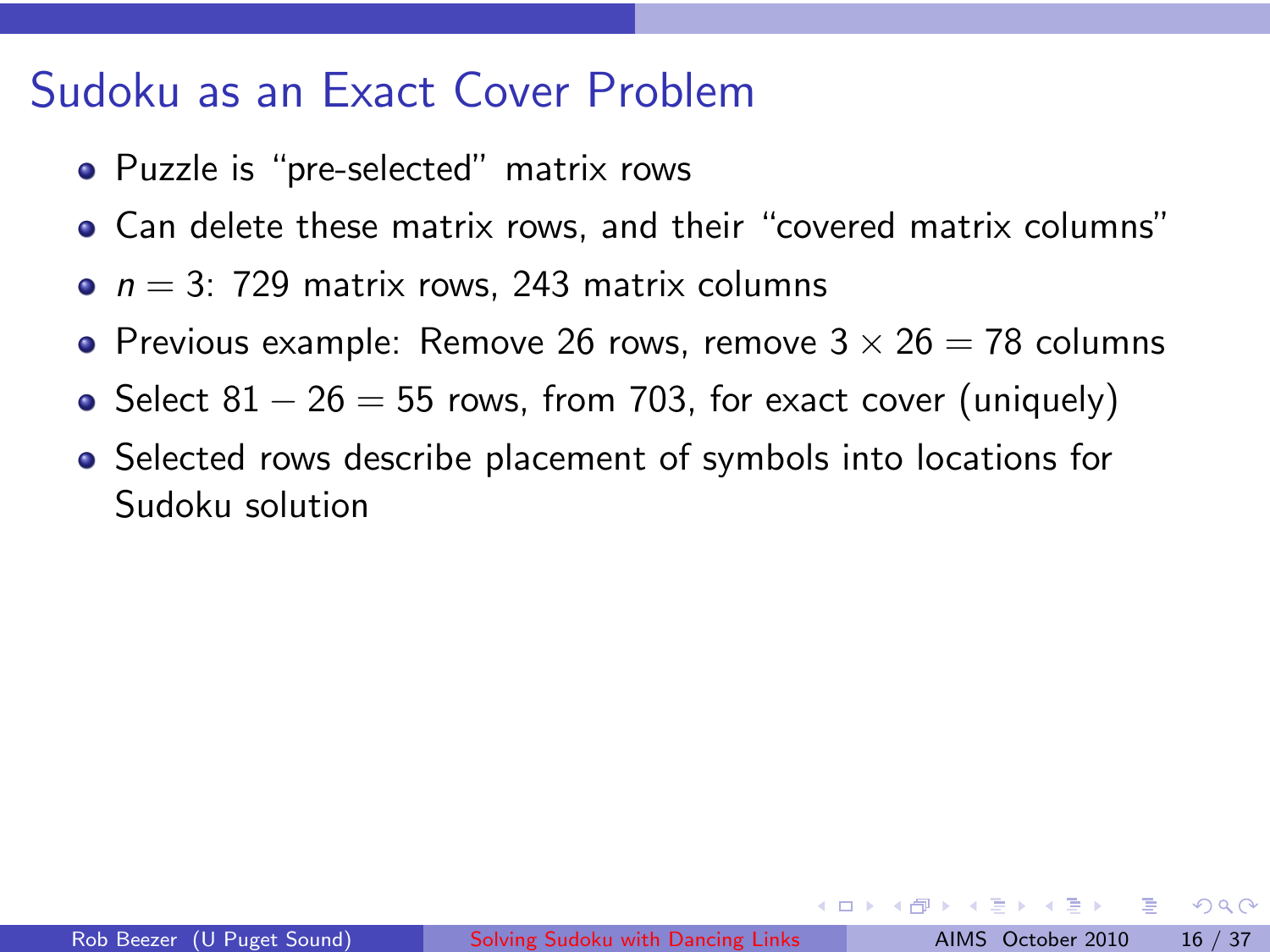### Sudoku as an Exact Cover Problem

- Puzzle is "pre-selected" matrix rows
- Can delete these matrix rows, and their "covered matrix columns"
- $n = 3$ : 729 matrix rows, 243 matrix columns
- Previous example: Remove 26 rows, remove  $3 \times 26 = 78$  columns
- Select  $81 26 = 55$  rows, from 703, for exact cover (uniquely)
- Selected rows describe placement of symbols into locations for Sudoku solution

 $\Omega$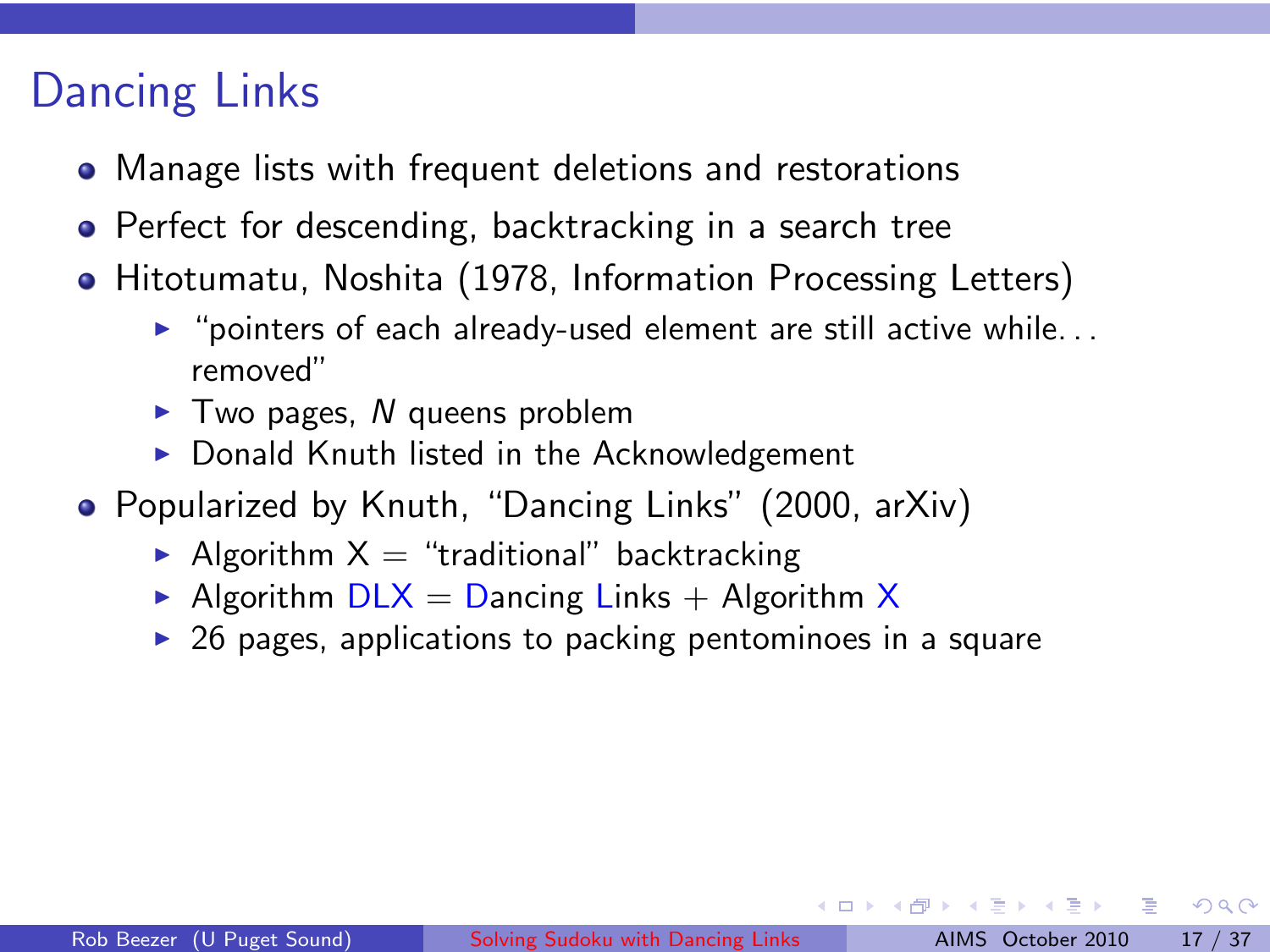# Dancing Links

- Manage lists with frequent deletions and restorations
- Perfect for descending, backtracking in a search tree
- Hitotumatu, Noshita (1978, Information Processing Letters)
	- $\triangleright$  "pointers of each already-used element are still active while... removed"
	- $\blacktriangleright$  Two pages, N queens problem
	- $\triangleright$  Donald Knuth listed in the Acknowledgement
- Popularized by Knuth, "Dancing Links" (2000, arXiv)
	- Algorithm  $X =$  "traditional" backtracking
	- Algorithm  $DLX =$  Dancing Links + Algorithm X
	- $\triangleright$  26 pages, applications to packing pentominoes in a square

그 그래서

 $2Q$ 

イロン イ母ン イヨン イヨン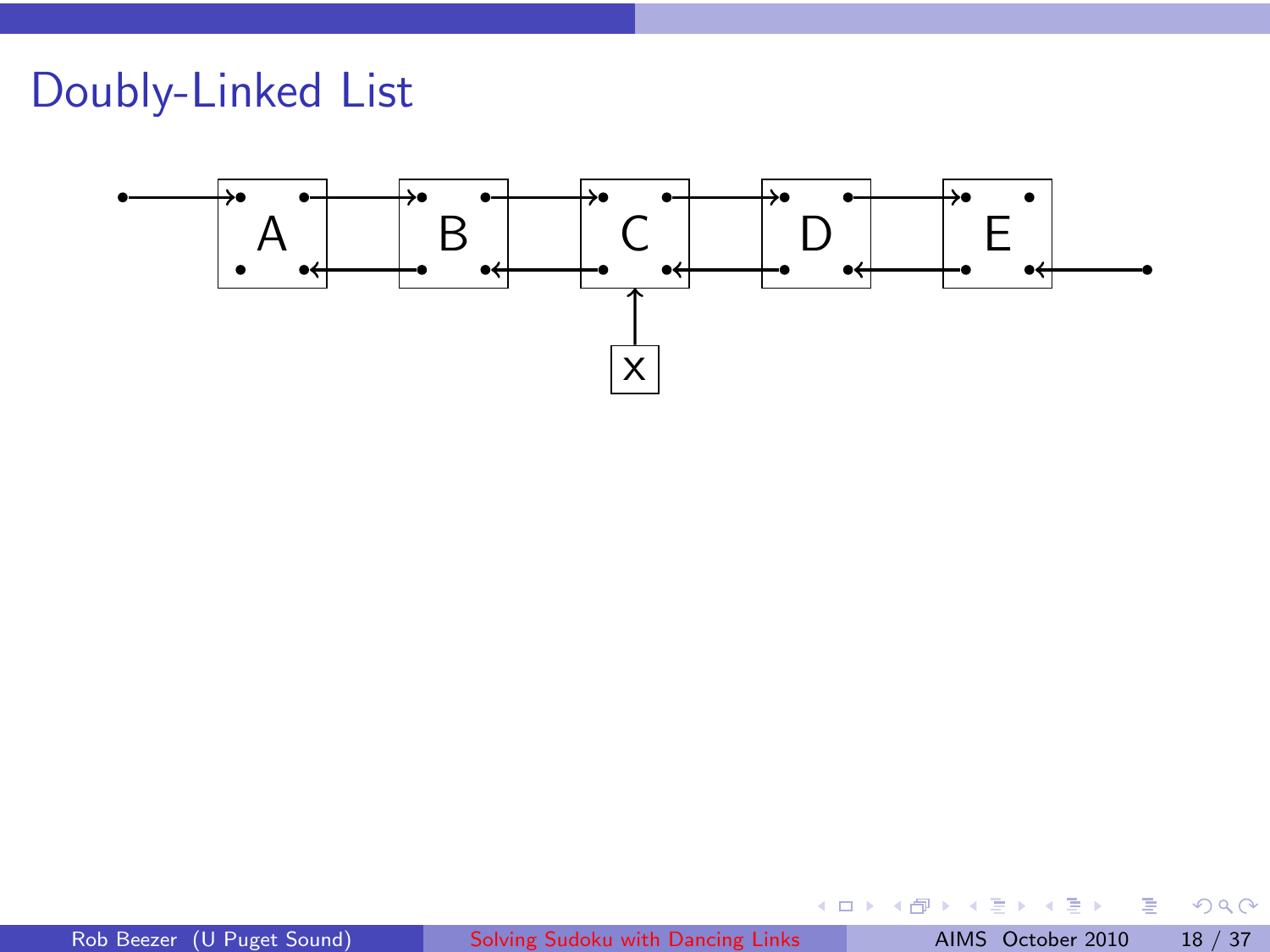# Doubly-Linked List



b.

÷

×

重

 $299$ 

(ロ) ( ) →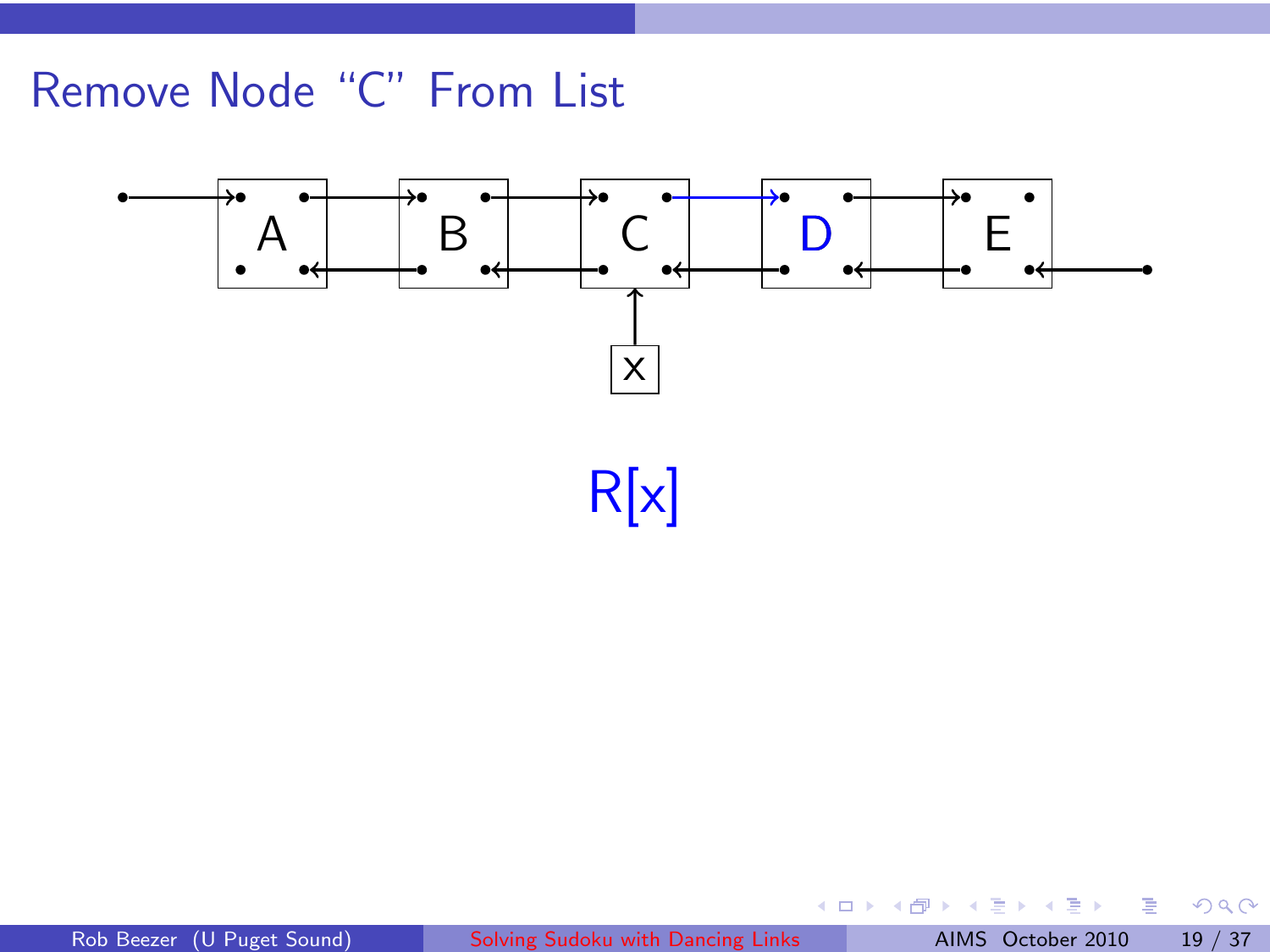

E

**K ロ ▶ K 倒 ▶** 

 $\equiv$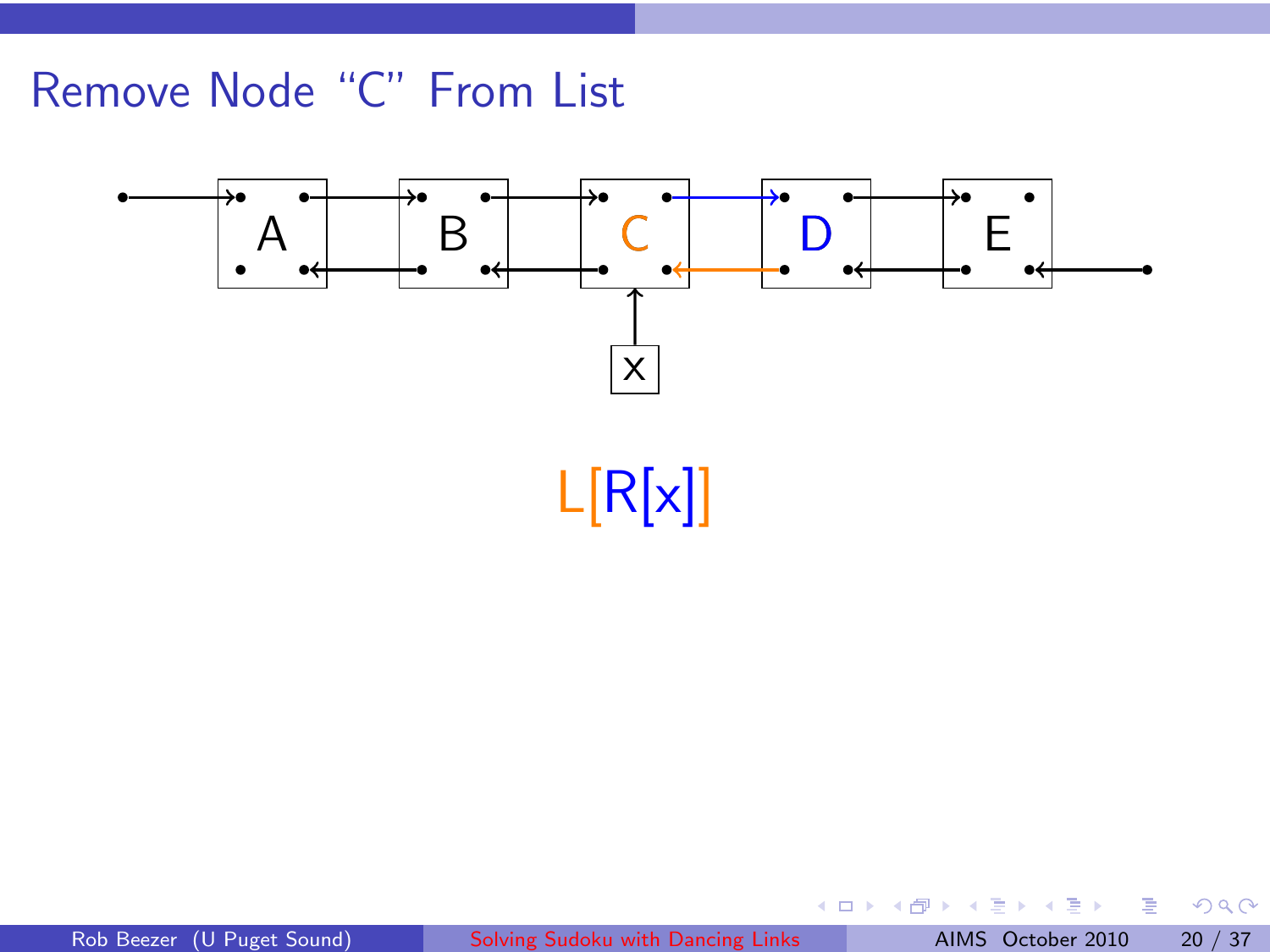

E

 $\leftarrow$   $\Box$ → 伊 ▶  $\equiv$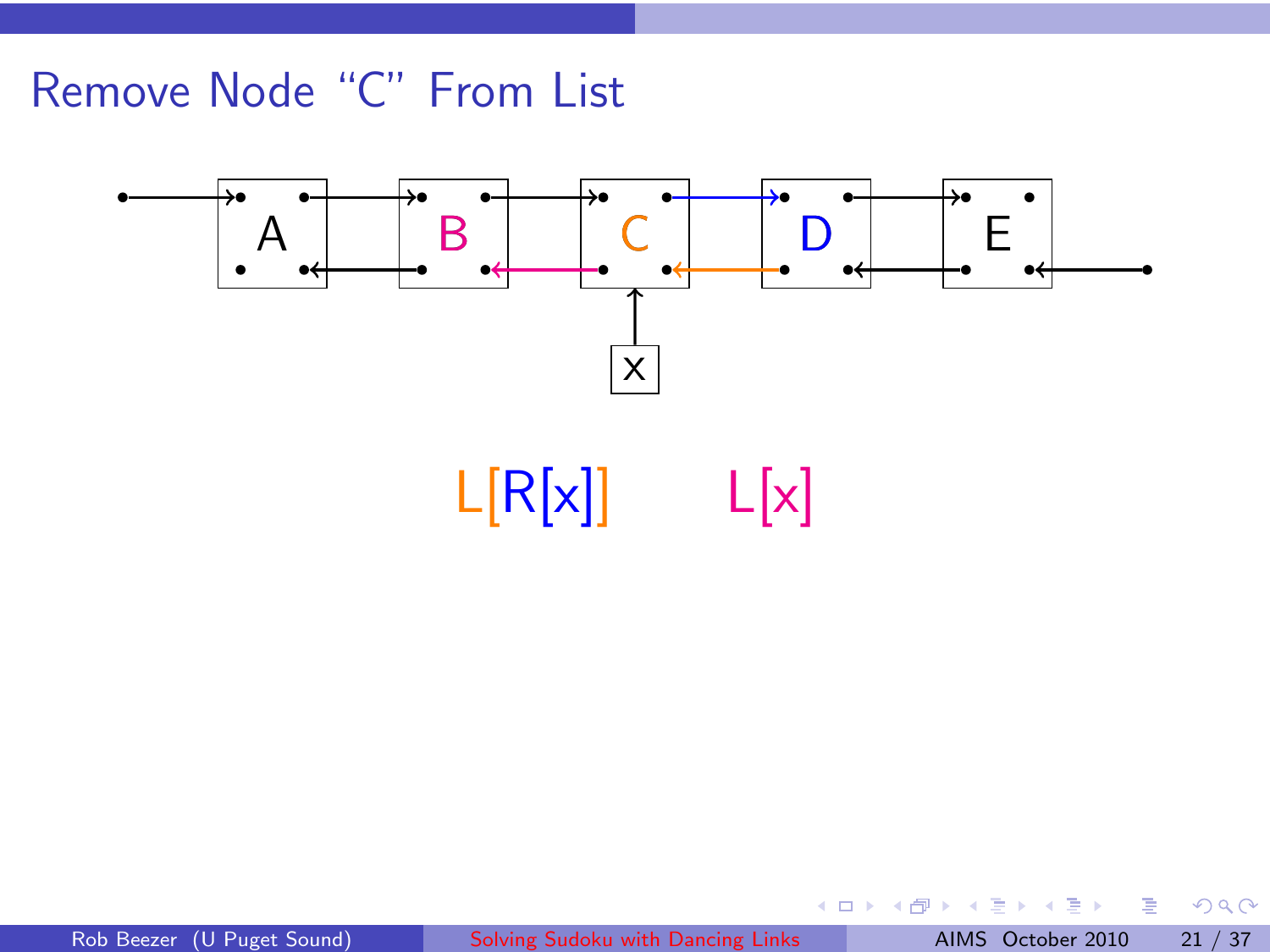

■→

**K ロ ▶ K 倒 ▶** 

 $\mathbb{R}$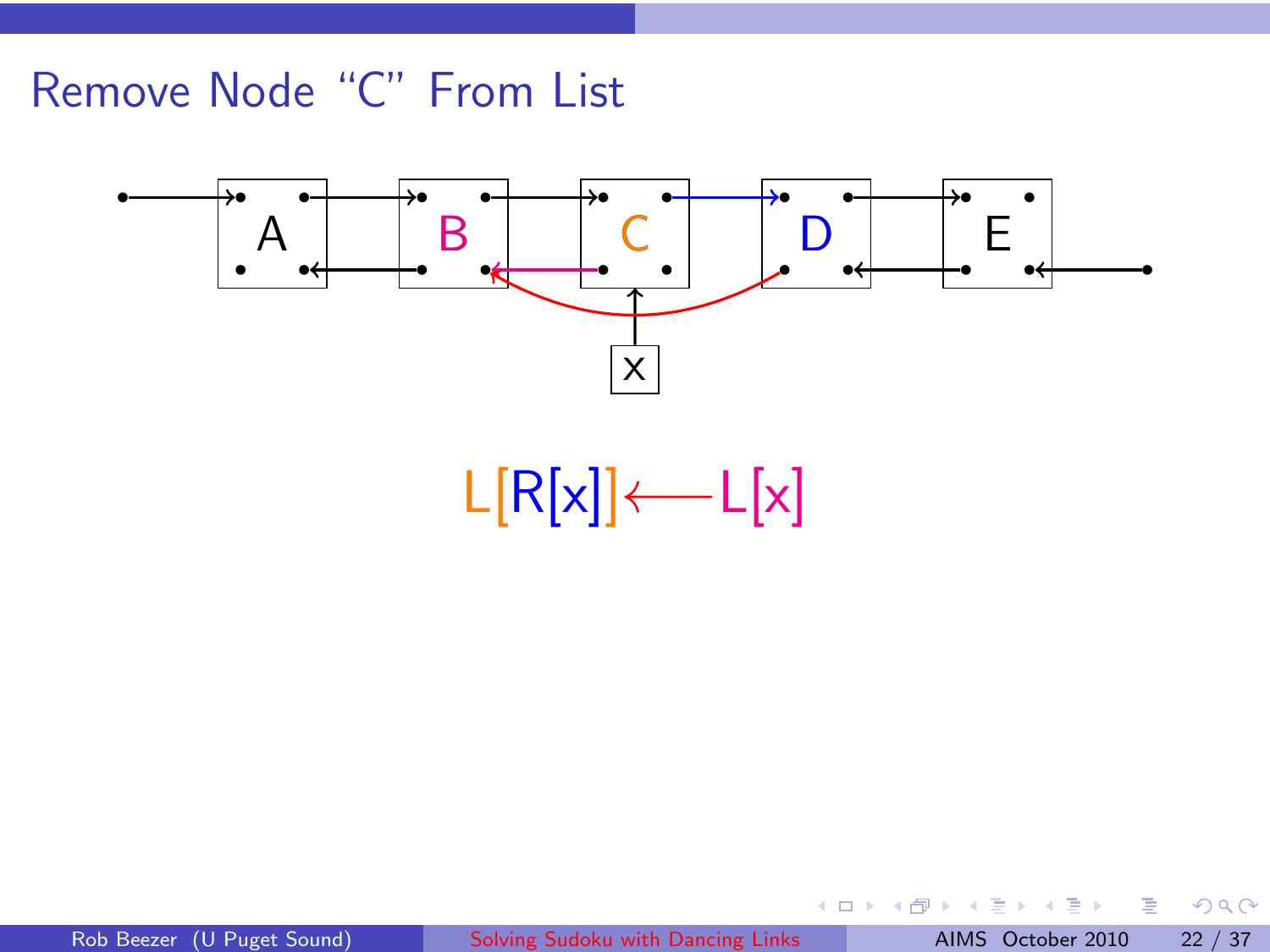

Rob Beezer (U Puget Sound) [Solving Sudoku with Dancing Links](#page-0-0) AIMS October 2010 22 / 37

 $\equiv$  $\mathbf{p}$ 

一 4 (重) 8

**K ロ ▶ K 倒 ▶** 

一番

 $2Q$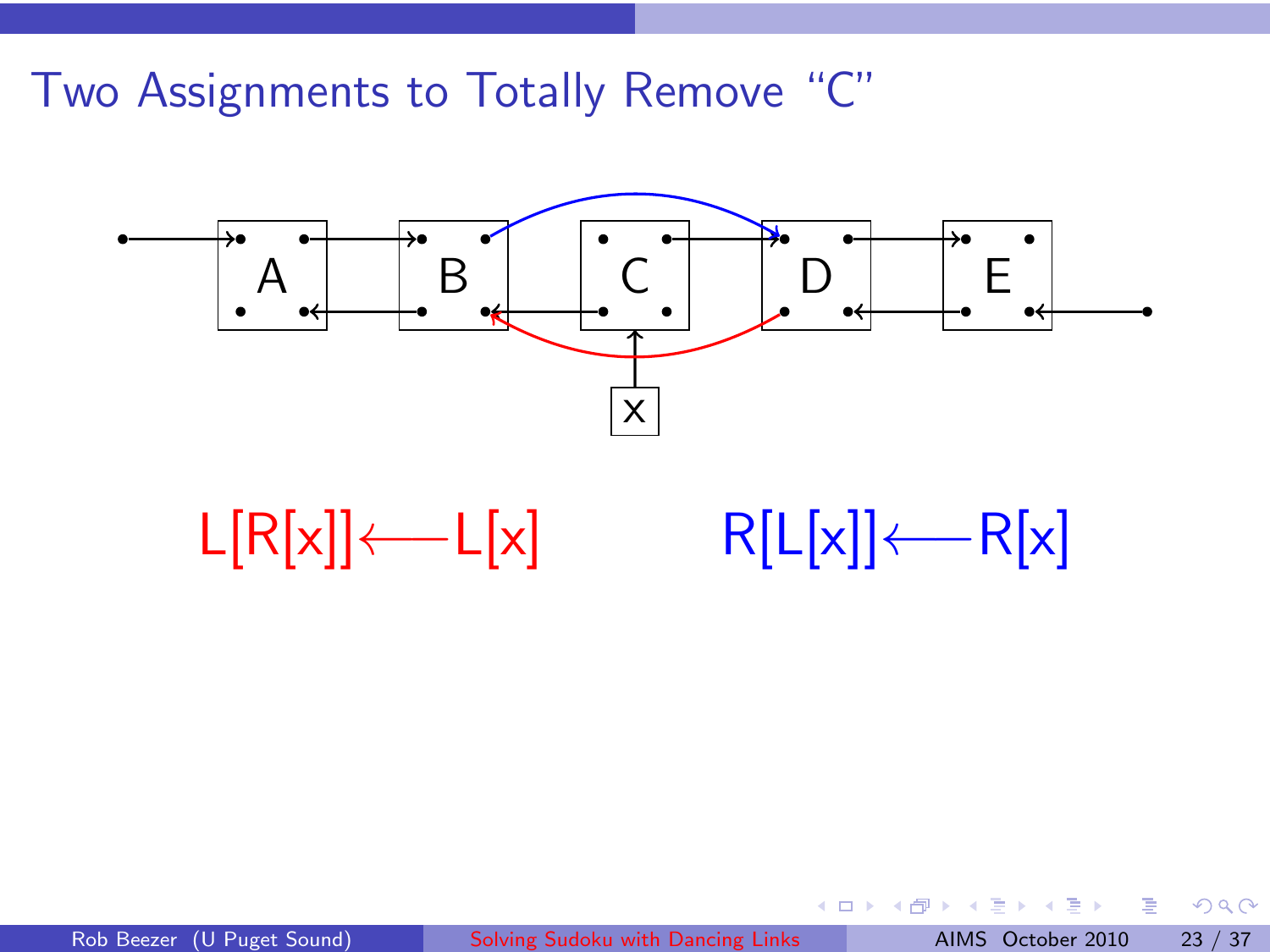Two Assignments to Totally Remove "C"



| $L[R[x]]$ $\leftarrow$ $L[x]$ | $R[L[x]] \leftarrow R[x]$ |  |
|-------------------------------|---------------------------|--|
|-------------------------------|---------------------------|--|

4 0 8

∢ ⊕

 $299$ 

重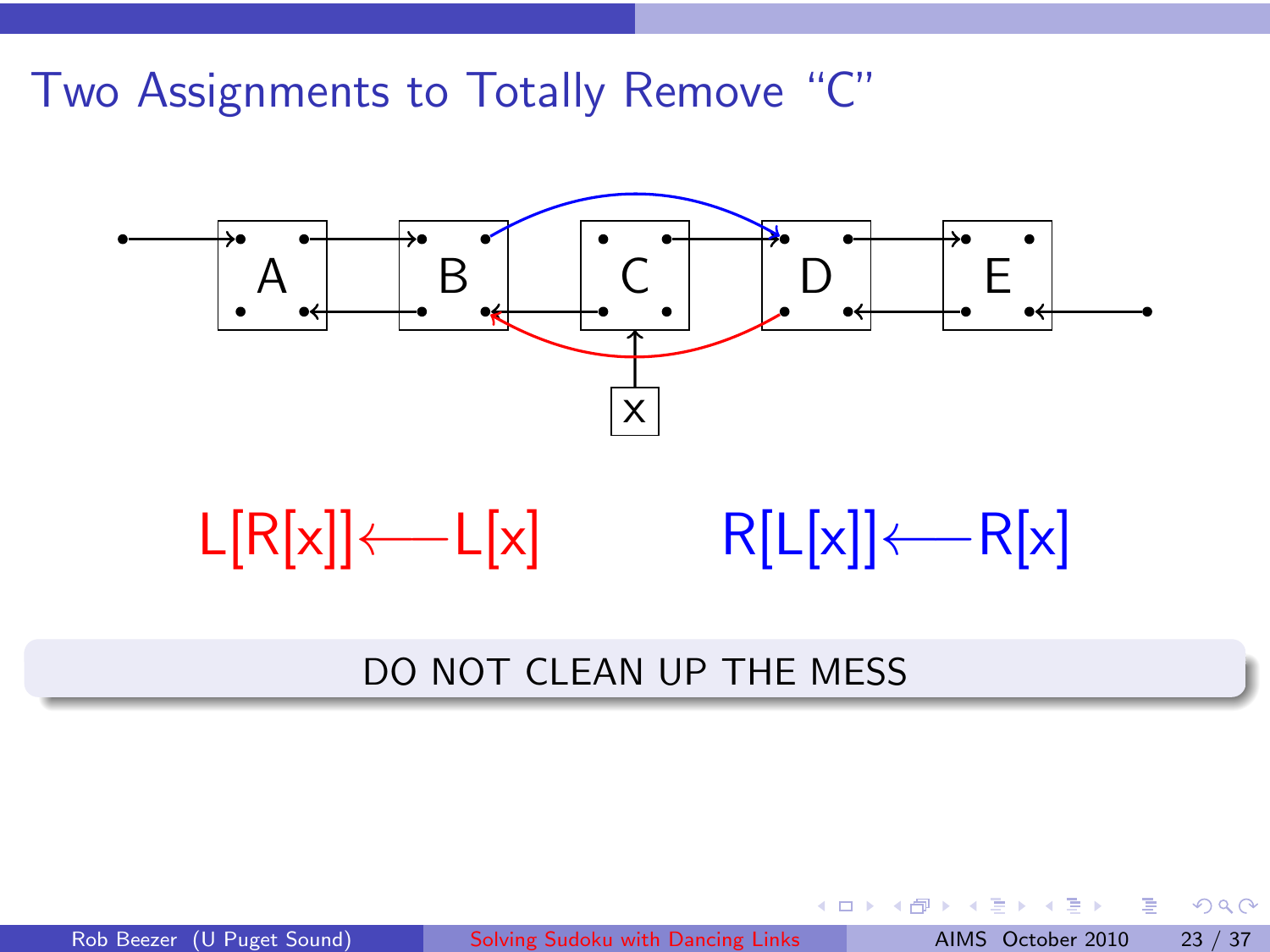Two Assignments to Totally Remove "C"





#### DO NOT CLEAN UP THE MESS

Rob Beezer (U Puget Sound) [Solving Sudoku with Dancing Links](#page-0-0) AIMS October 2010 23 / 37

4 0 8

4 சி ⊧

重

 $QQ$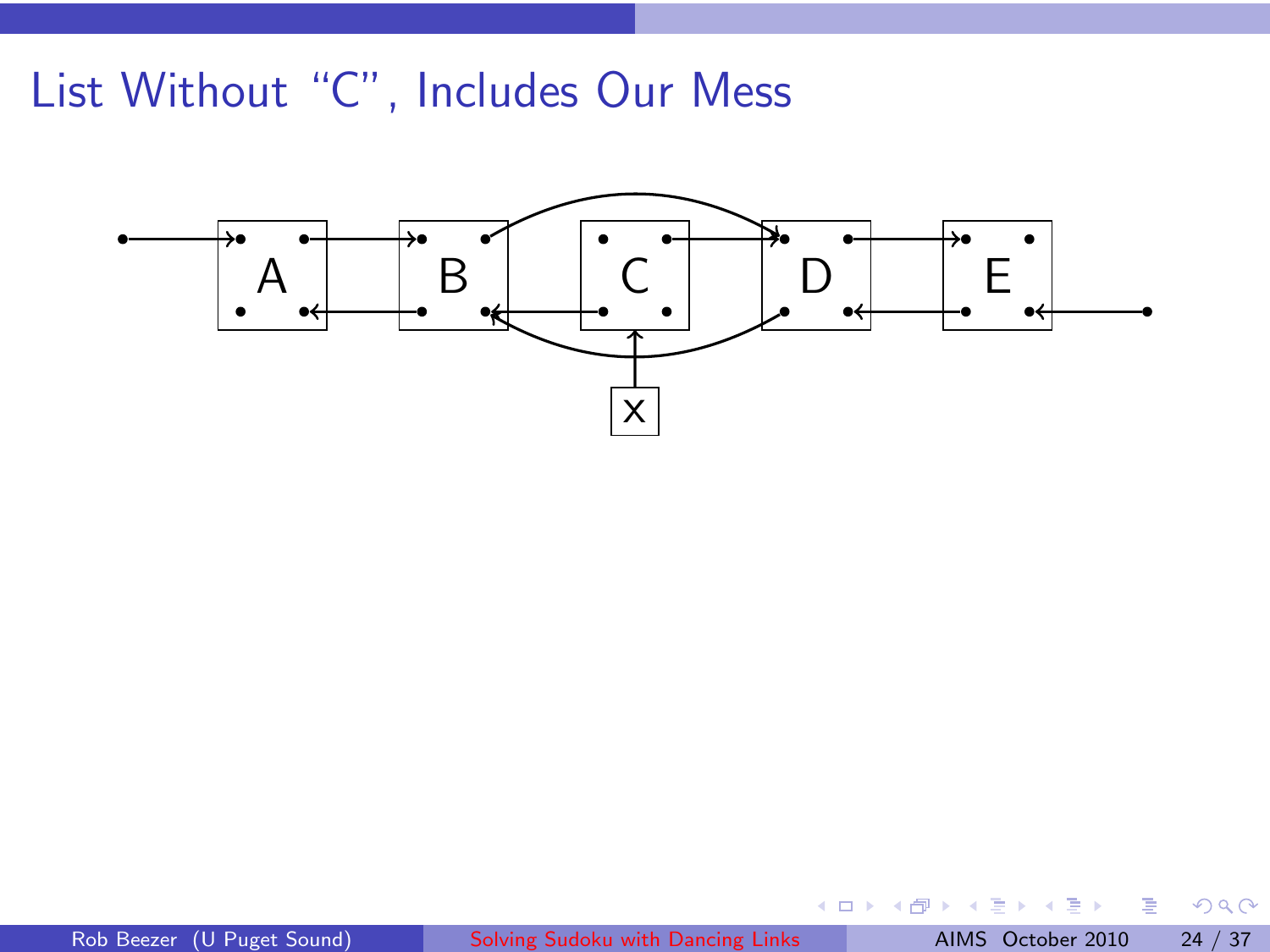# List Without "C", Includes Our Mess



重

 $2Q$ 

4 0 8

∢ ⊕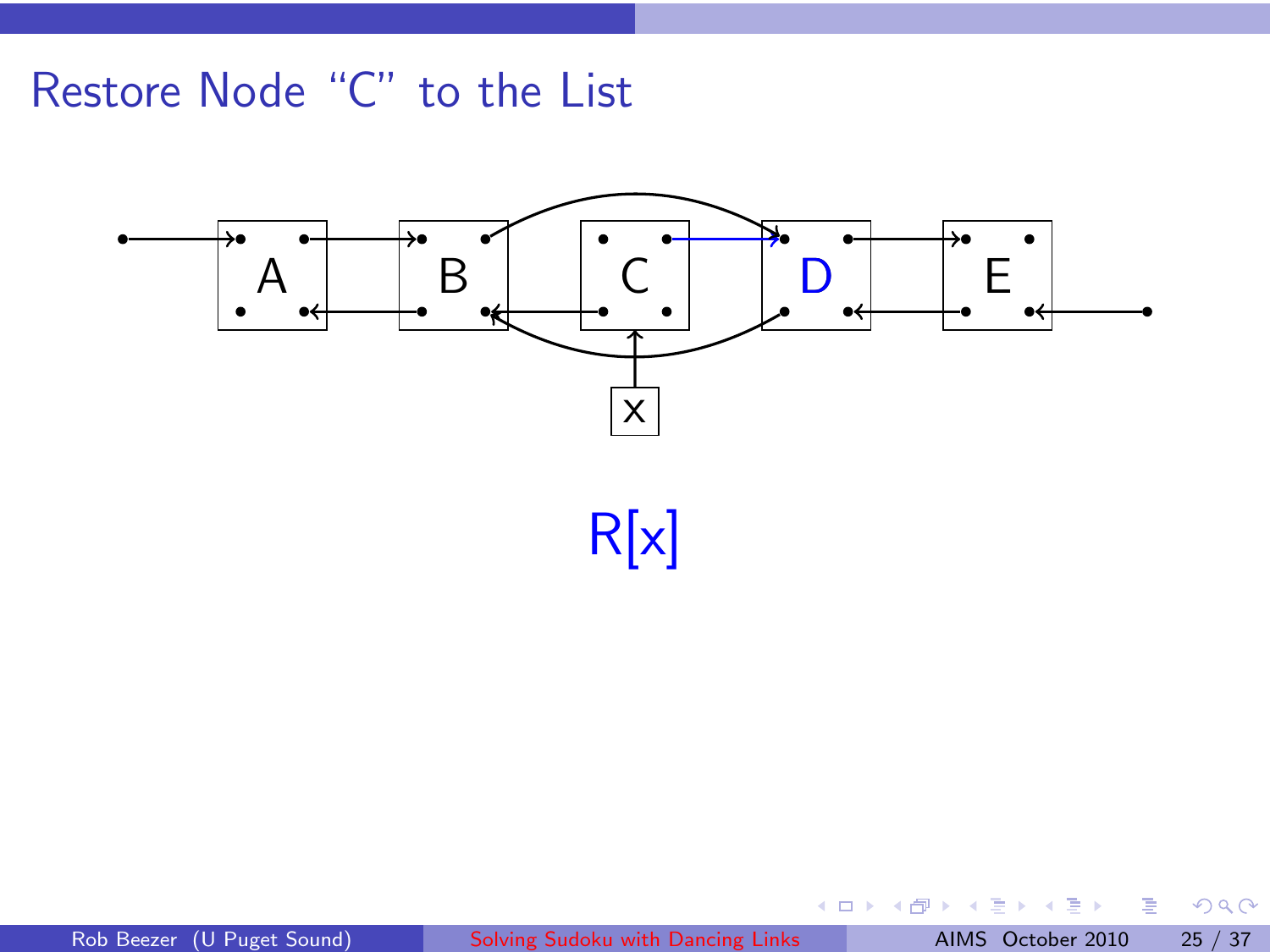

R[x]

Ħ

. B

 $\equiv$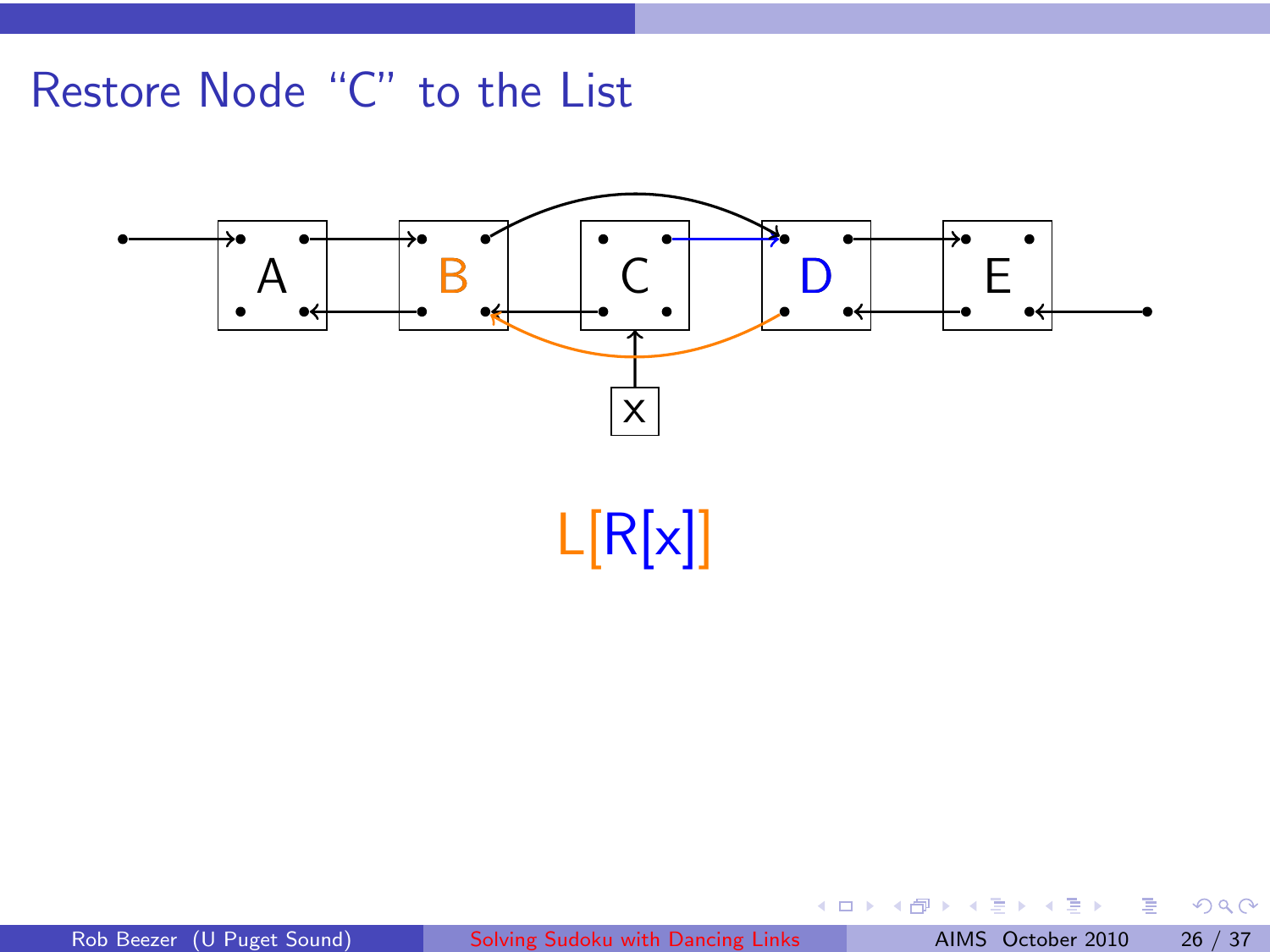

L[R[x]]

**B** 

Ħ

 $\leftarrow$   $\Box$ - 4 €  $\equiv$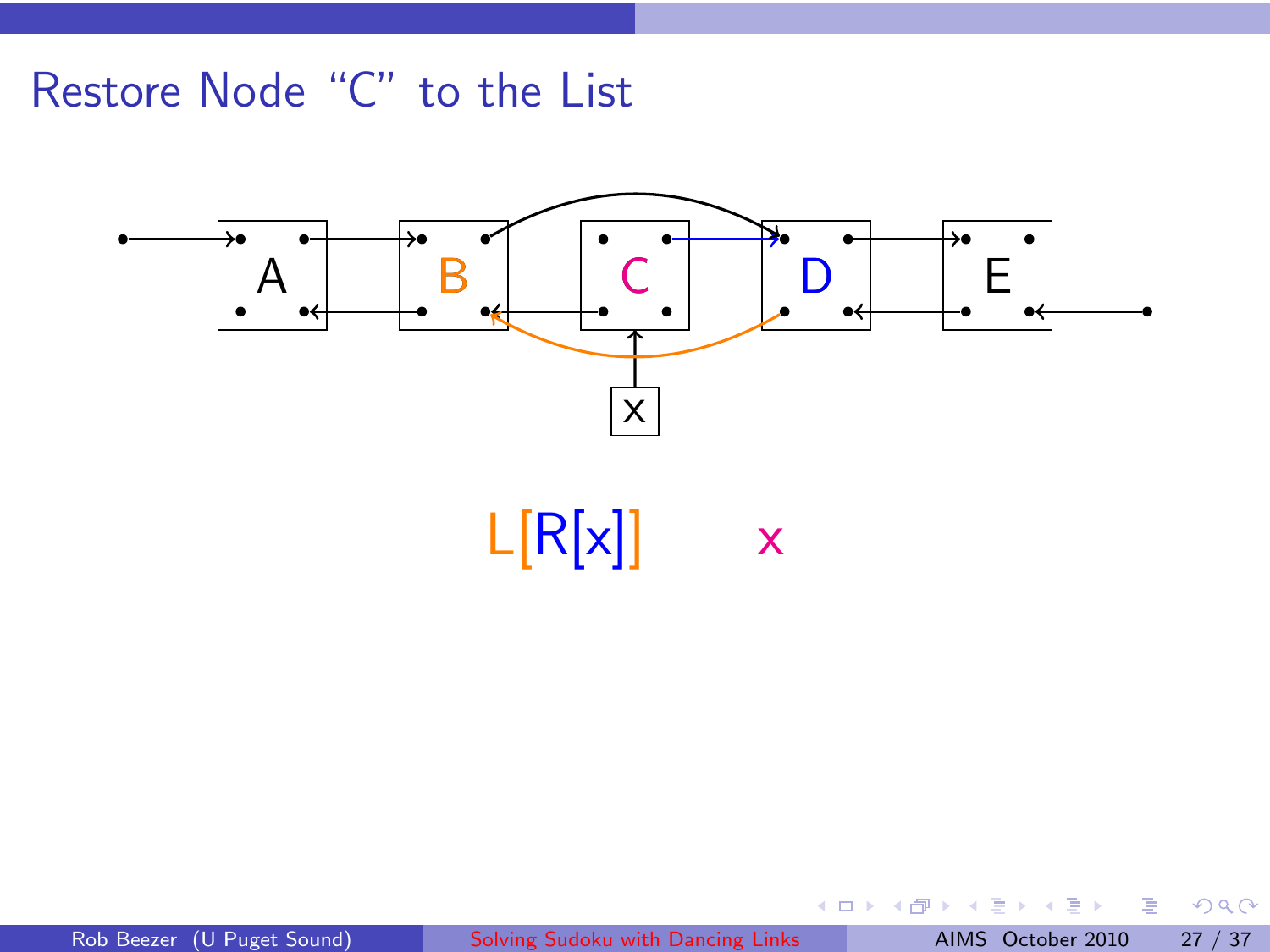

 $L[R[x]]$  x

E

. B

 $\equiv$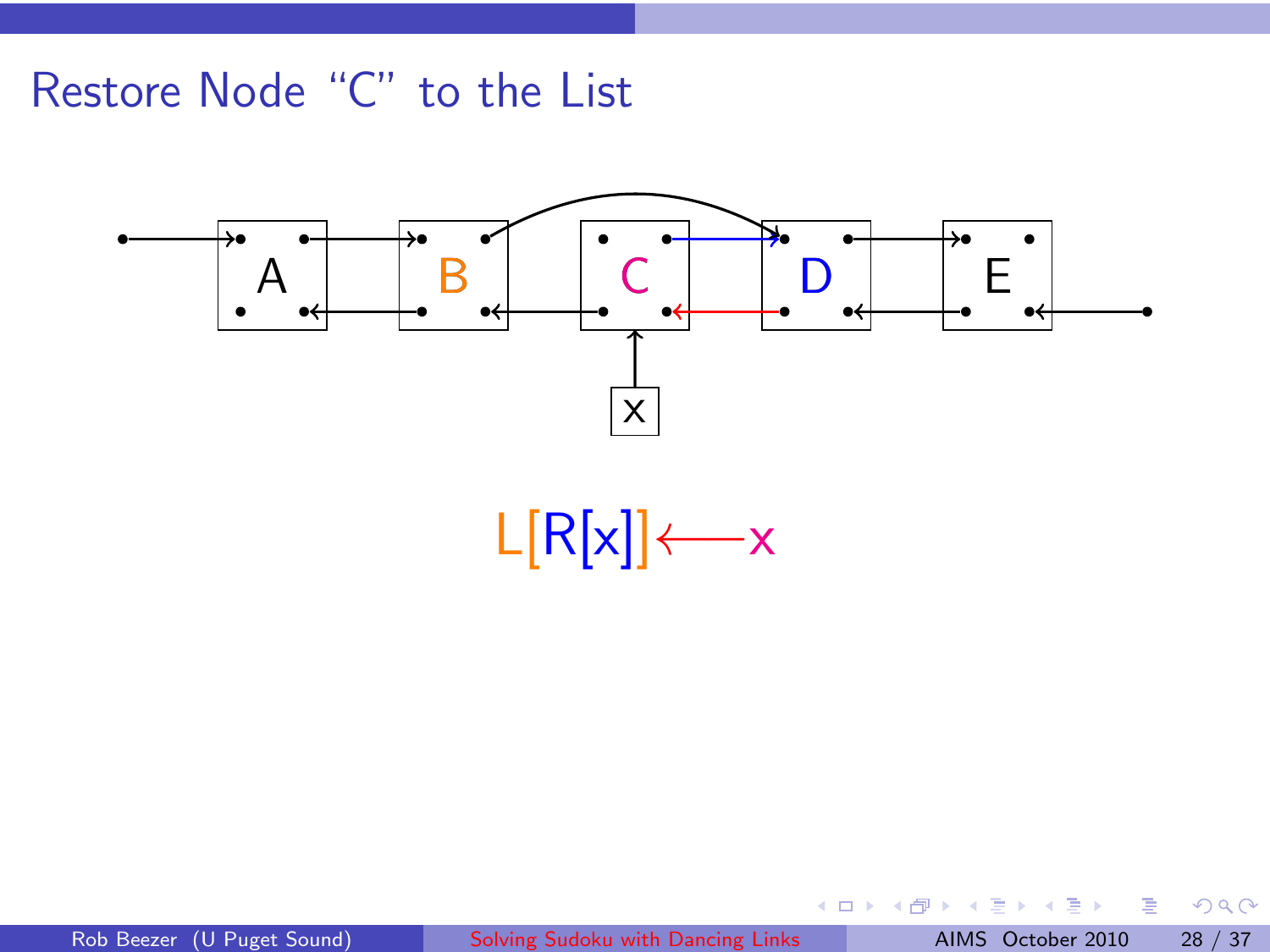

 $L[R[x]] \leftarrow x$ 

重

**K ロ ▶ K 倒 ▶** 

 $\equiv$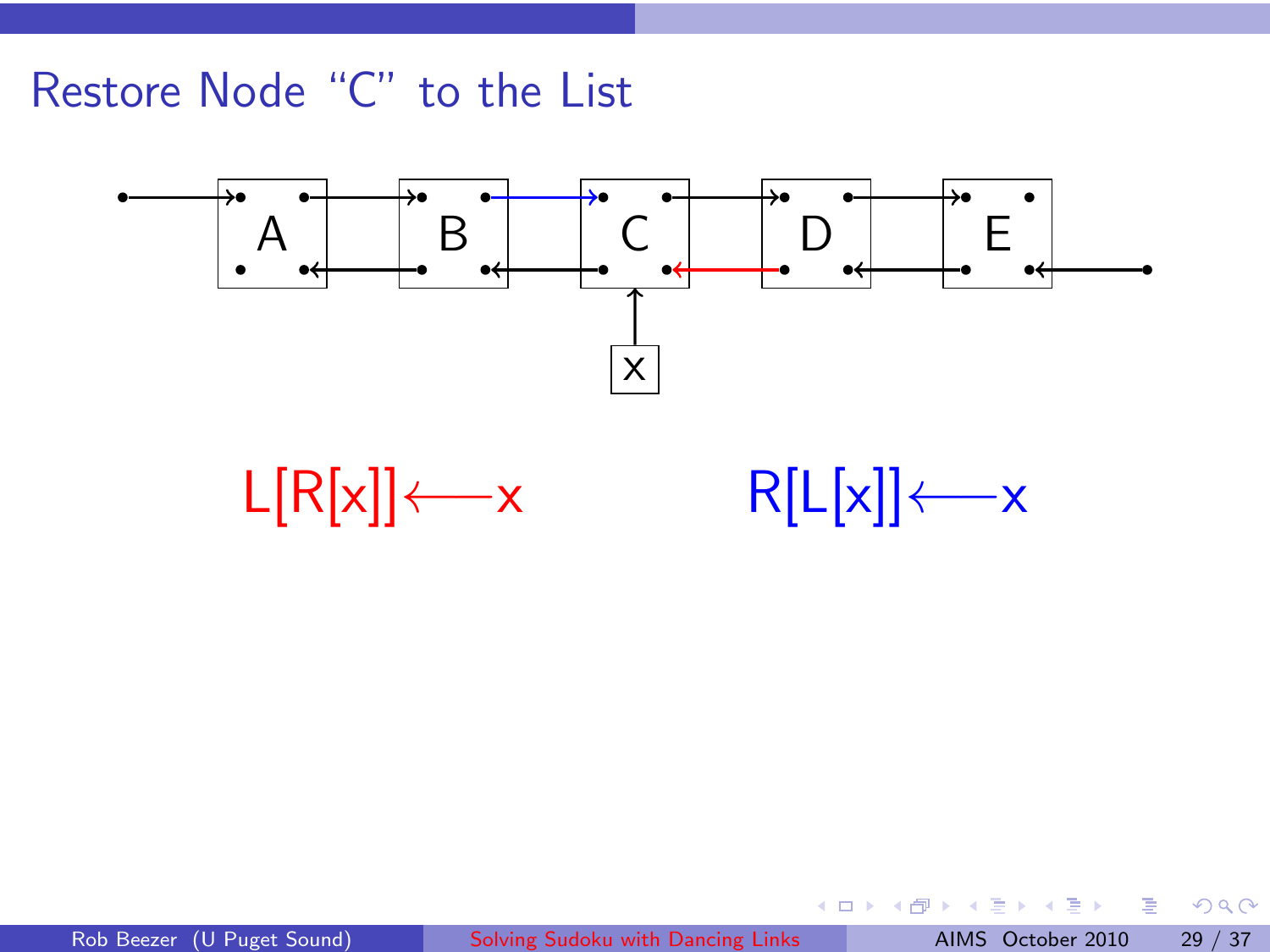



**K ロ ▶ K 伊 ▶** 

一番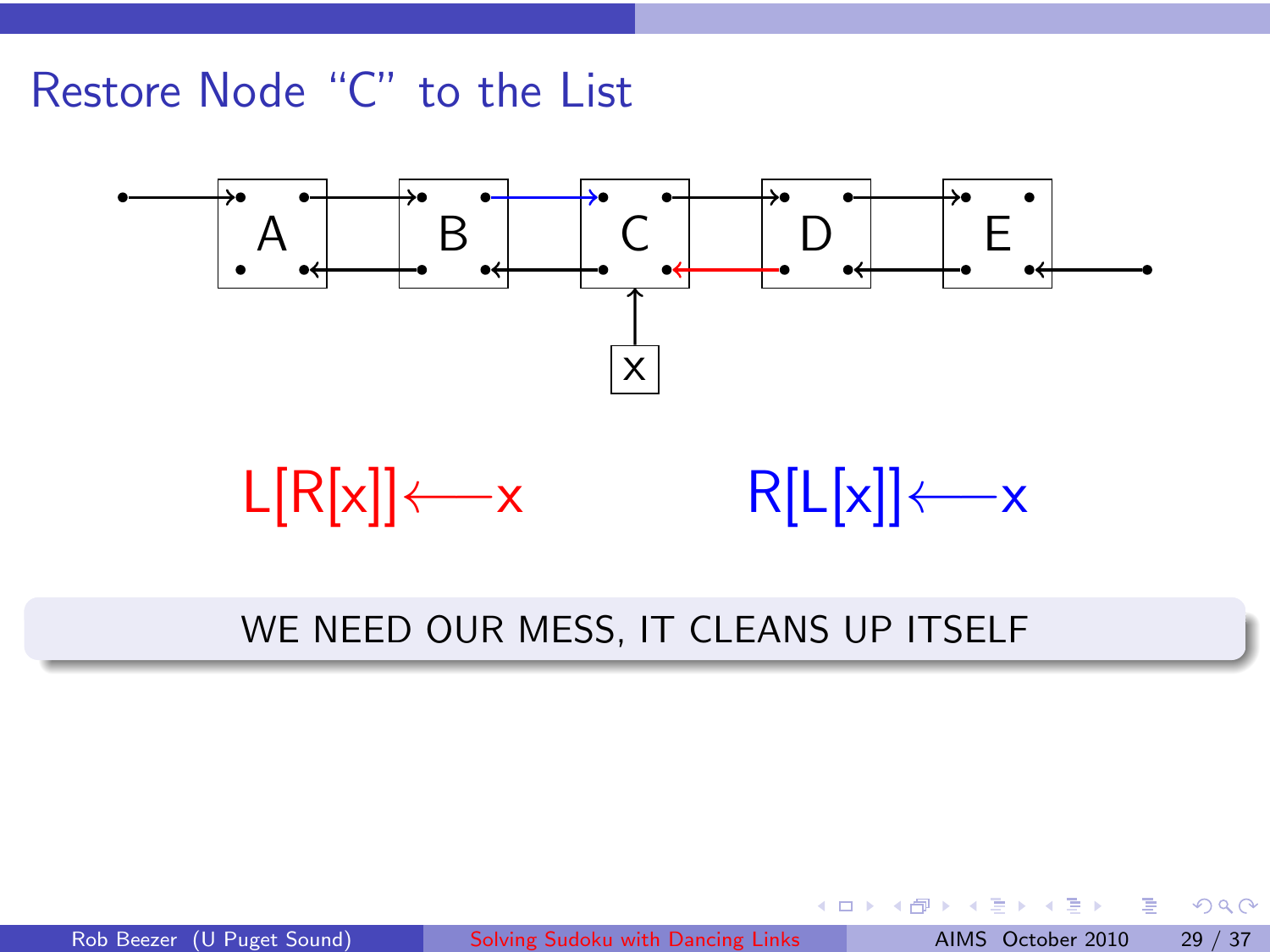

#### WE NEED OUR MESS, IT CLEANS UP ITSELF

Rob Beezer (U Puget Sound) [Solving Sudoku with Dancing Links](#page-0-0) AIMS October 2010 29 / 37

 $\rightarrow$   $\equiv$   $\rightarrow$ 

4 0 8 → 母→ 重

 $QQ$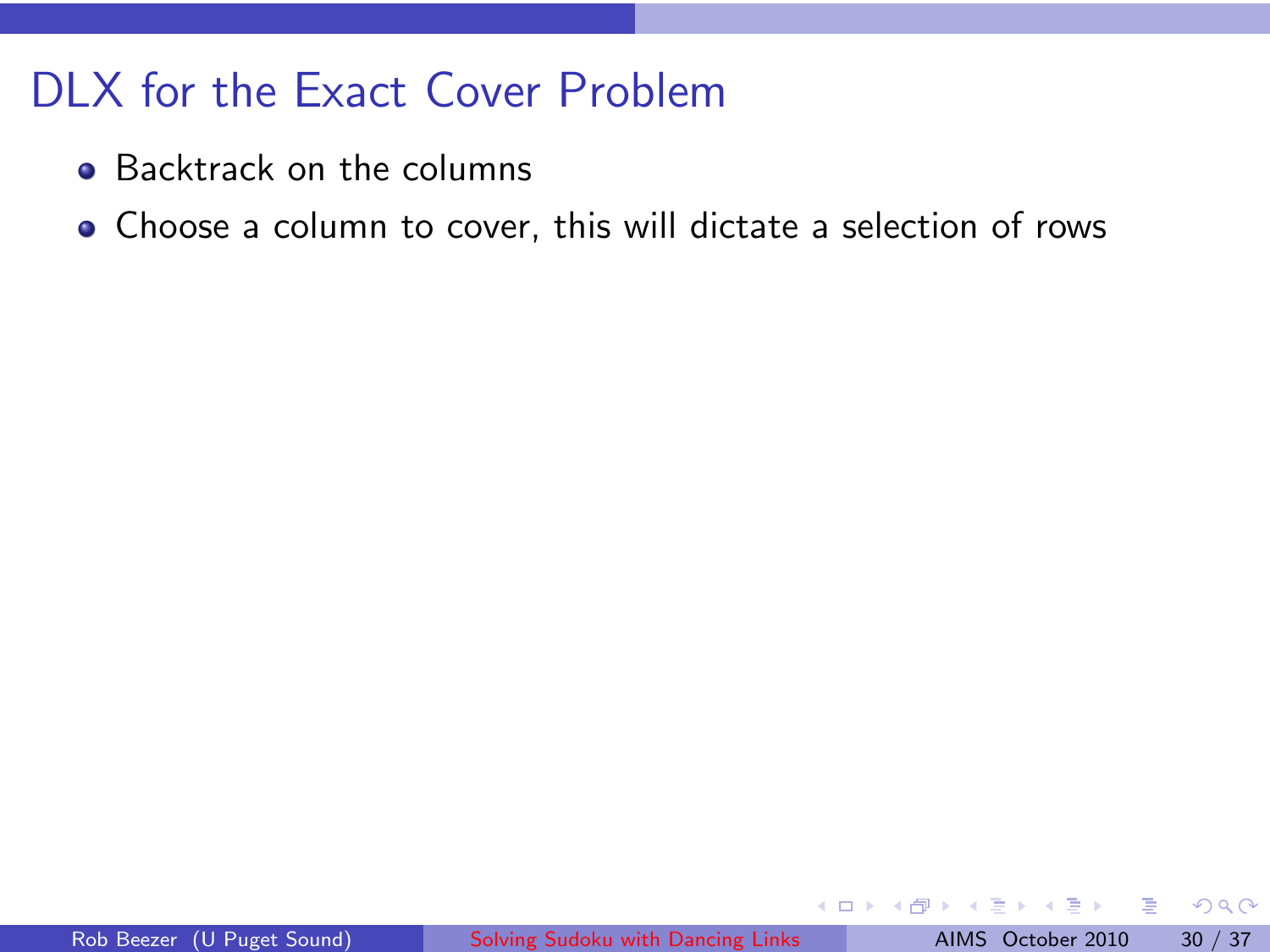### DLX for the Exact Cover Problem

- Backtrack on the columns
- Choose a column to cover, this will dictate a selection of rows

 $\Omega$ 

4 0 8

∢ ⊕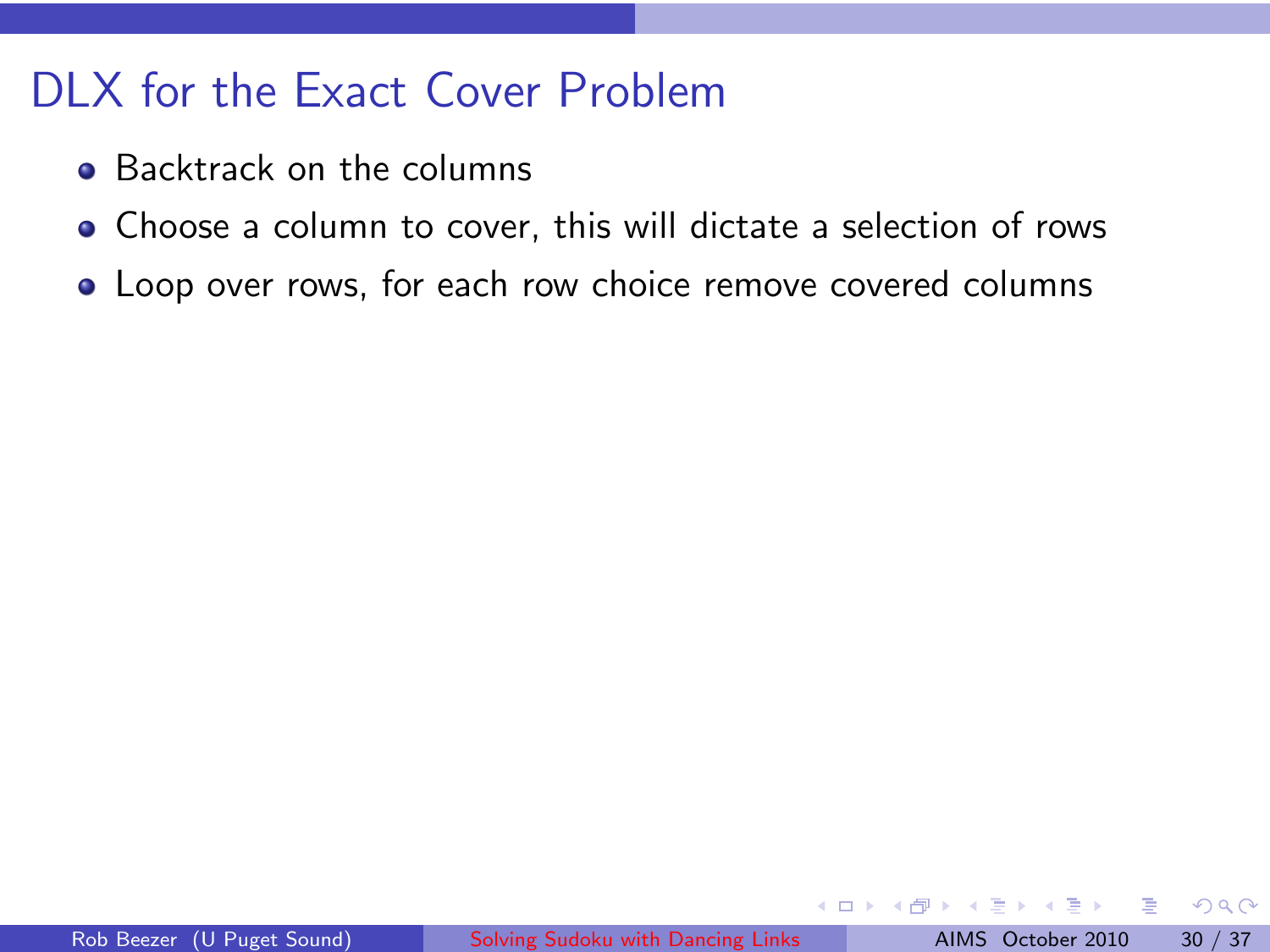### DLX for the Exact Cover Problem

- **Backtrack on the columns**
- Choose a column to cover, this will dictate a selection of rows
- Loop over rows, for each row choice remove covered columns

 $\leftarrow$ 

つひひ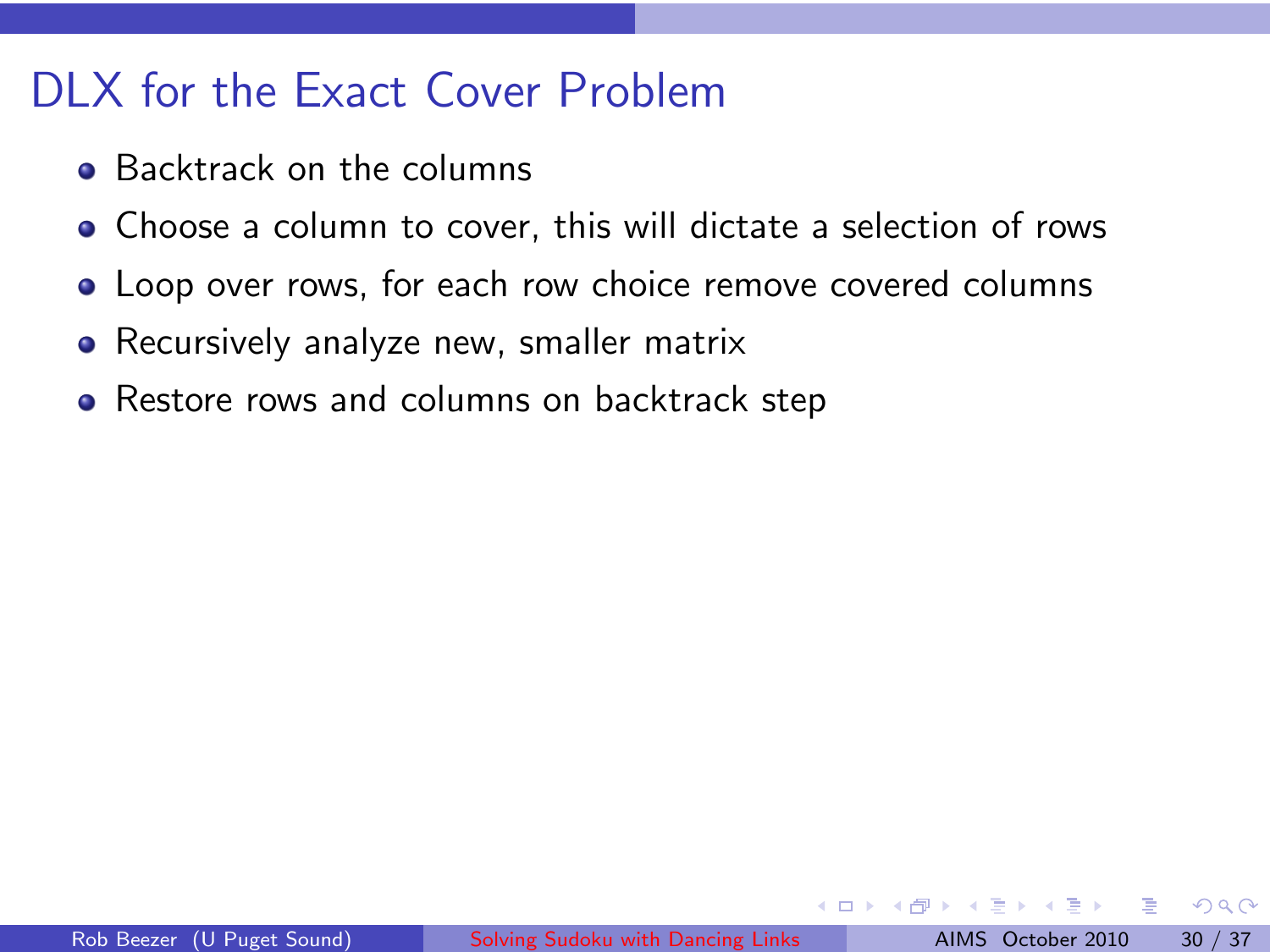### DLX for the Exact Cover Problem

- **Backtrack on the columns**
- Choose a column to cover, this will dictate a selection of rows
- Loop over rows, for each row choice remove covered columns
- Recursively analyze new, smaller matrix
- Restore rows and columns on backtrack step

つひひ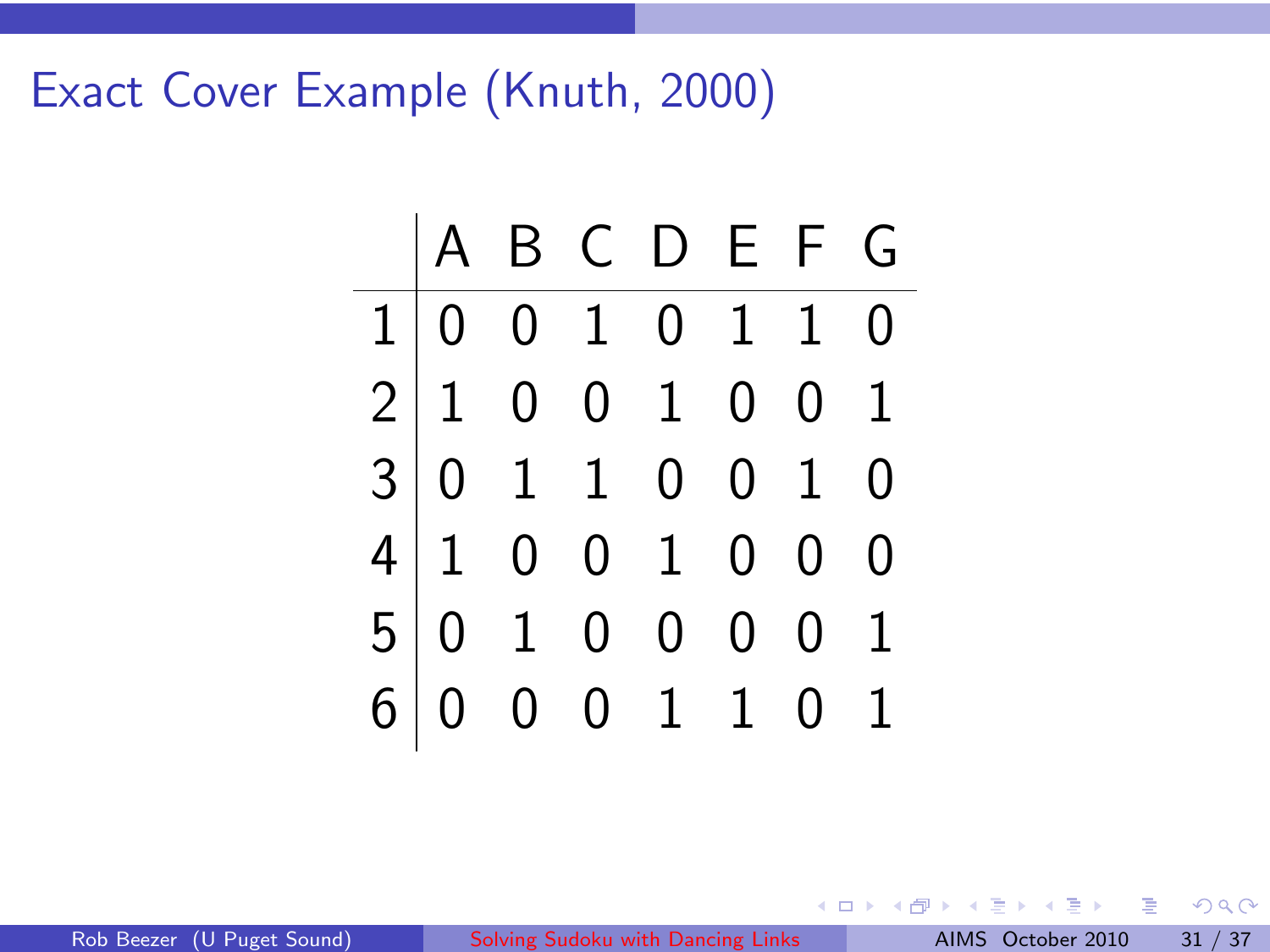Exact Cover Example (Knuth, 2000)



 $\leftarrow$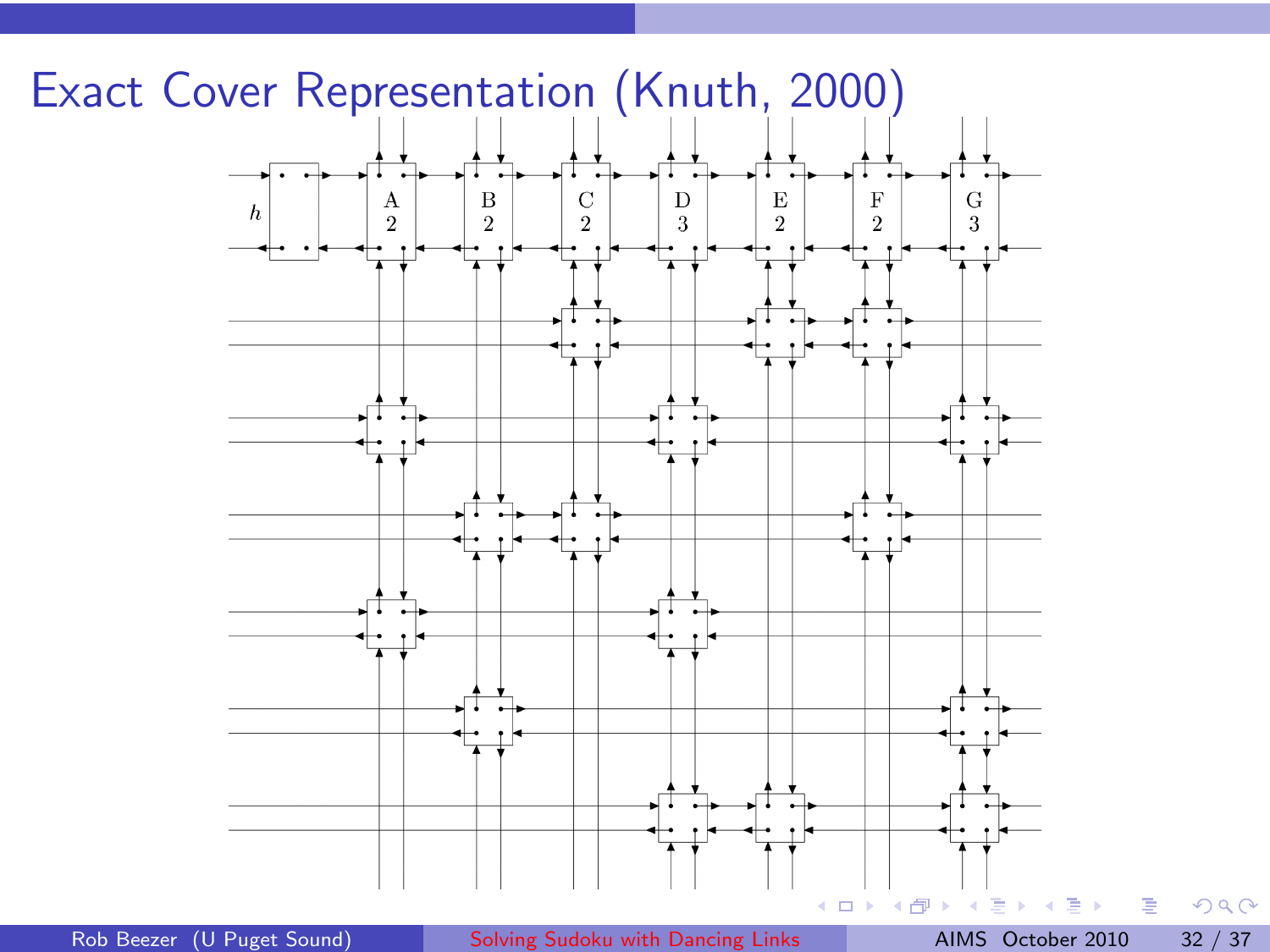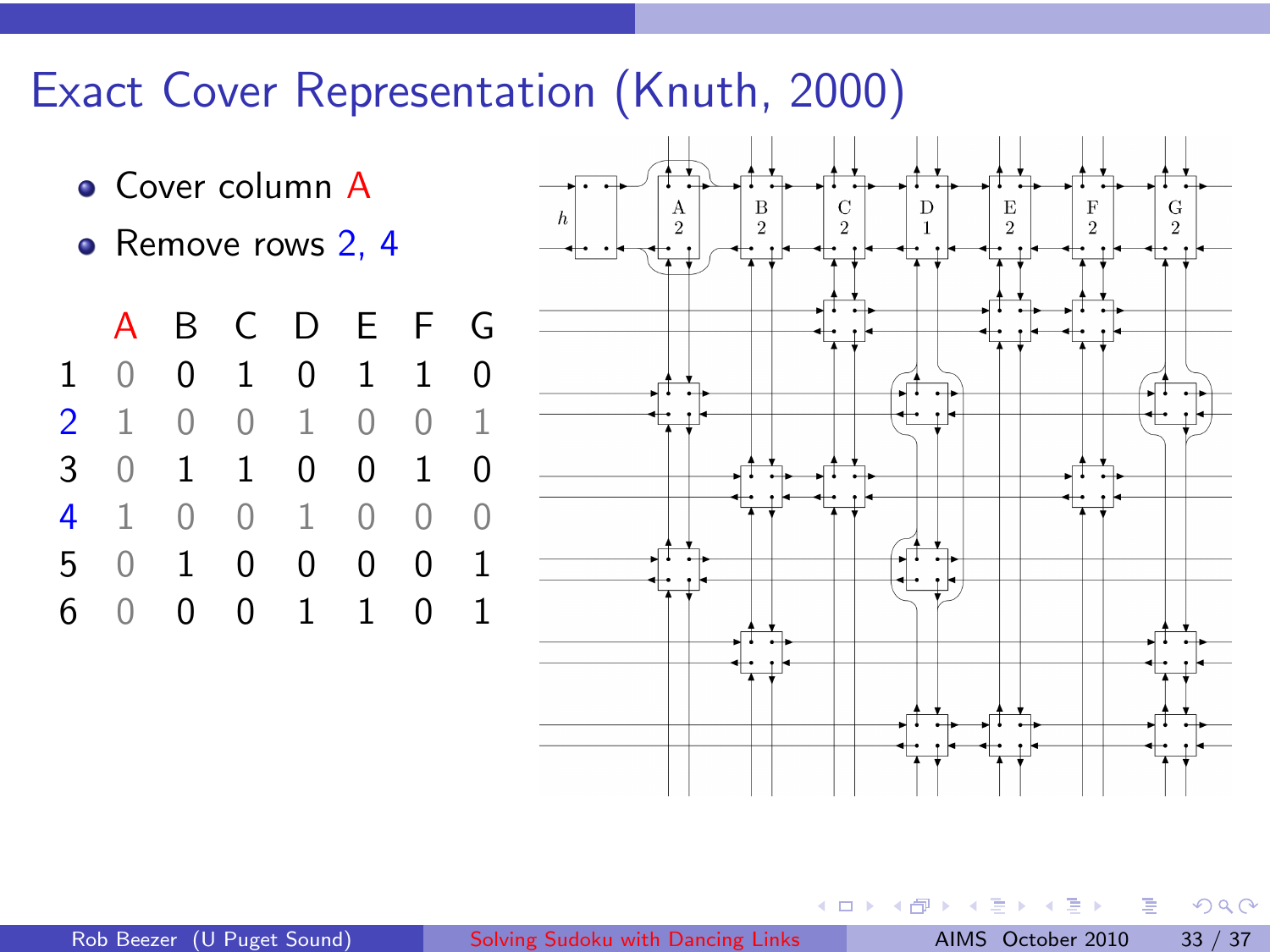# Exact Cover Representation (Knuth, 2000)

- **Cover column A**
- Remove rows 2, 4





 $\leftarrow$ 

 $\Omega$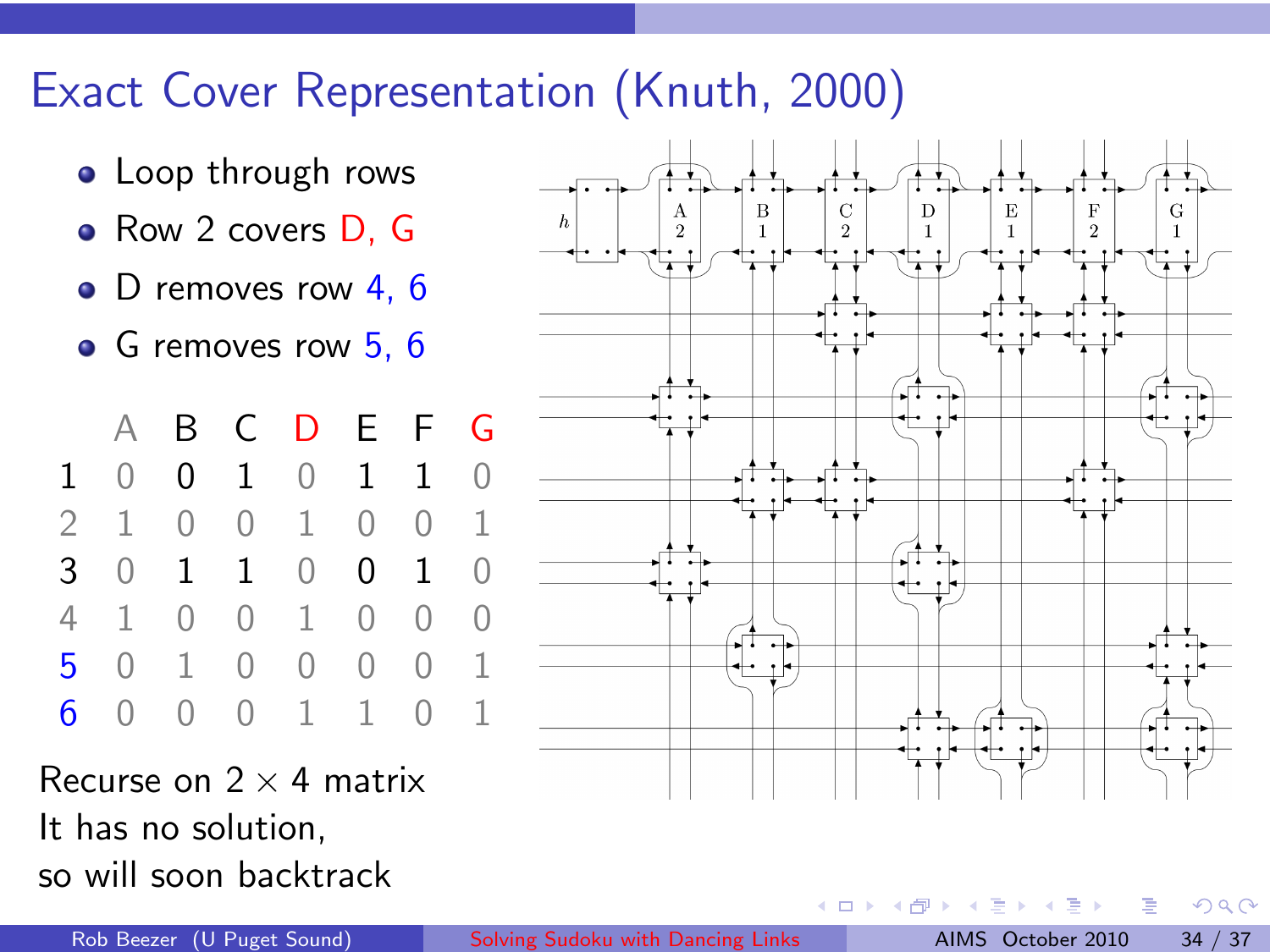# Exact Cover Representation (Knuth, 2000)

- **o** Loop through rows
- Row 2 covers D, G
- D removes row 4, 6
- G removes row 5, 6

A B C D E F G 0 0 1 0 1 1 0 1 0 0 1 0 0 1 0 1 1 0 0 1 0 1 0 0 1 0 0 0 0 1 0 0 0 0 1 0 0 0 1 1 0 1

Recurse on  $2 \times 4$  matrix It has no solution, so will soon backtrack

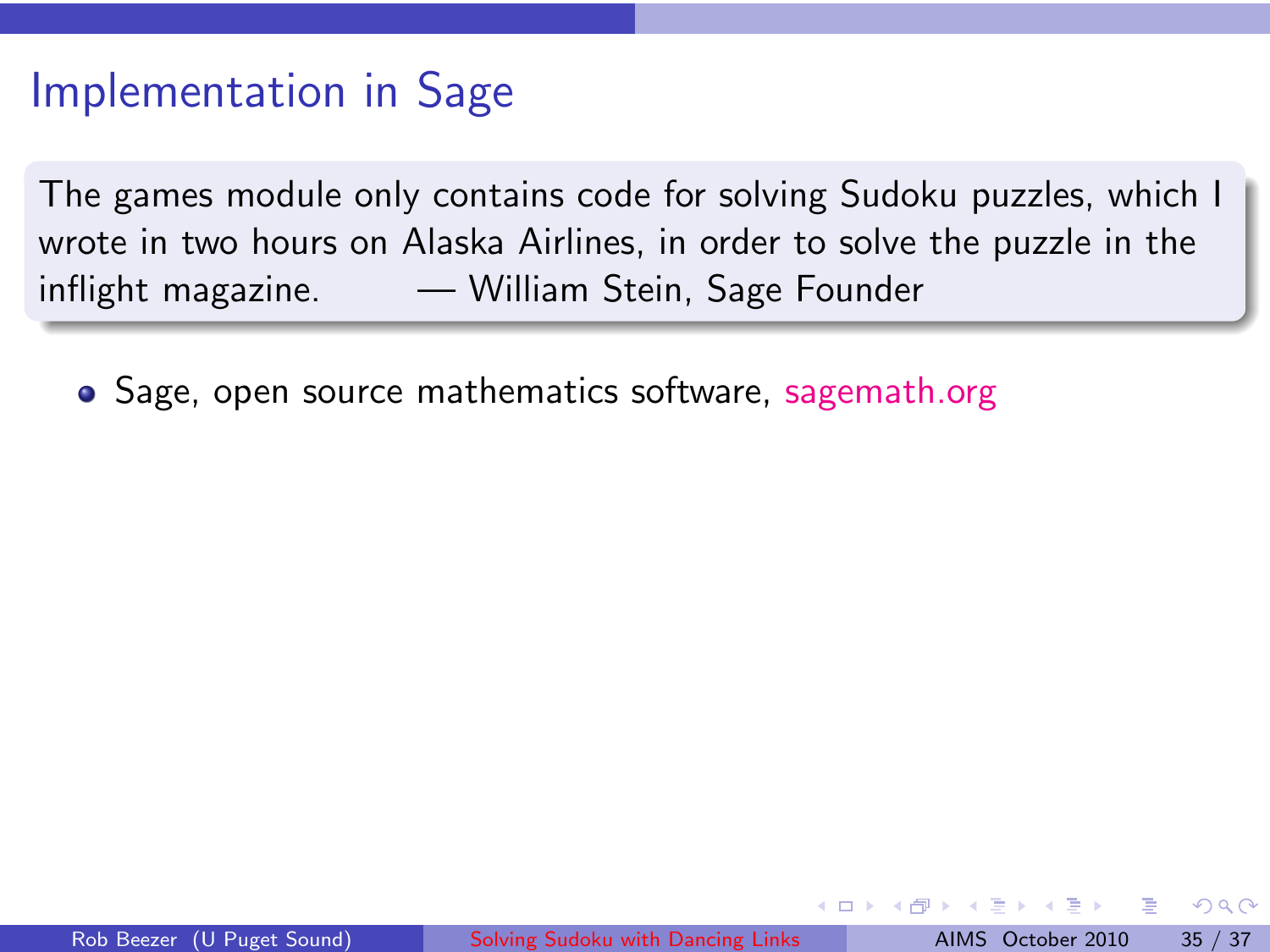## Implementation in Sage

The games module only contains code for solving Sudoku puzzles, which I wrote in two hours on Alaska Airlines, in order to solve the puzzle in the inflight magazine. — William Stein, Sage Founder

• Sage, open source mathematics software, [sagemath.org](http://sagemath.org/)

つひひ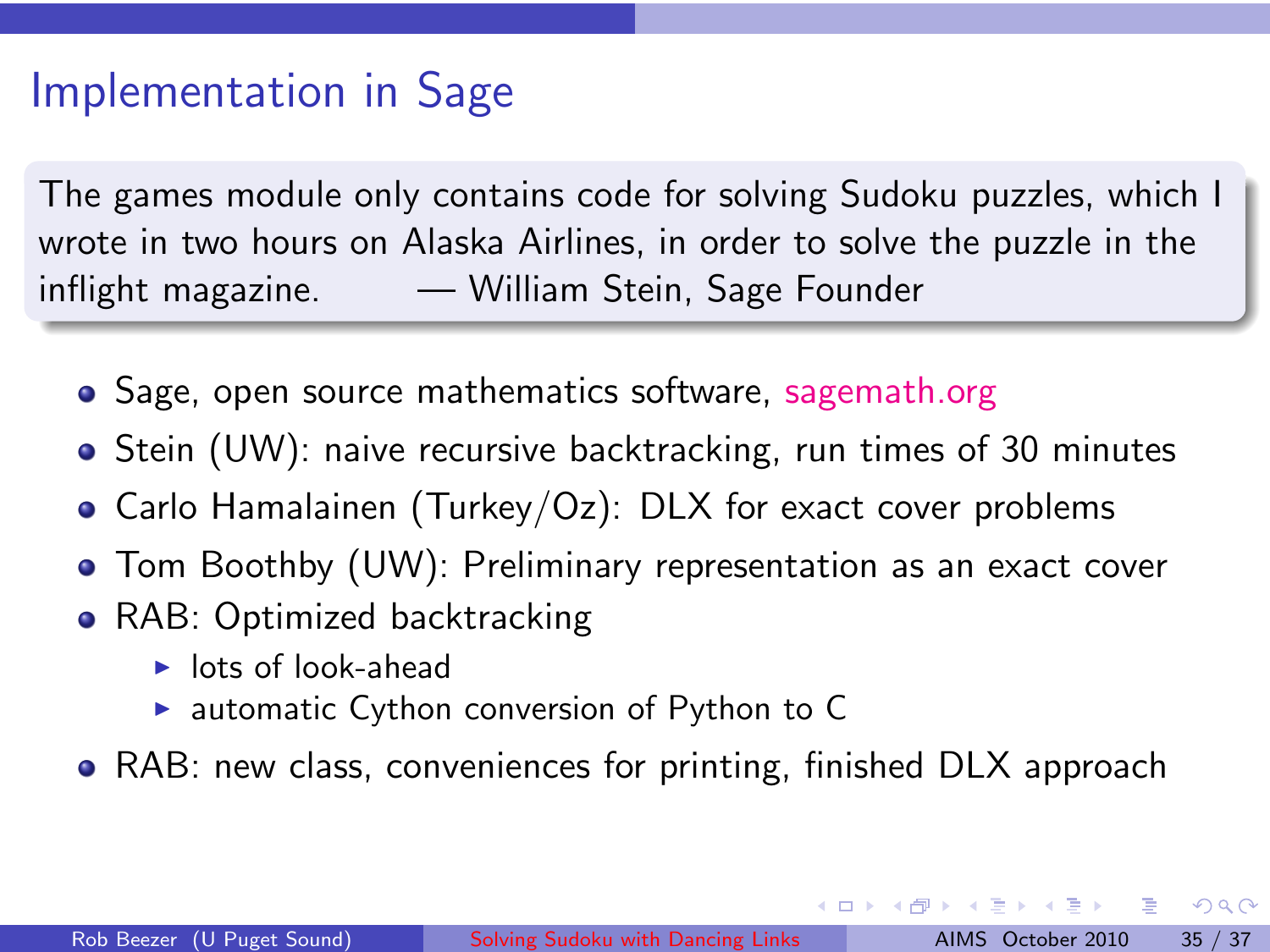# Implementation in Sage

The games module only contains code for solving Sudoku puzzles, which I wrote in two hours on Alaska Airlines, in order to solve the puzzle in the inflight magazine. — William Stein, Sage Founder

- Sage, open source mathematics software, [sagemath.org](http://sagemath.org/)
- **•** Stein (UW): naive recursive backtracking, run times of 30 minutes
- Carlo Hamalainen (Turkey/Oz): DLX for exact cover problems
- Tom Boothby (UW): Preliminary representation as an exact cover
- RAB: Optimized backtracking
	- $\blacktriangleright$  lots of look-ahead
	- $\triangleright$  automatic Cython conversion of Python to C
- RAB: new class, conveniences for printing, finished DLX approach

イロト イ押ト イヨト イヨト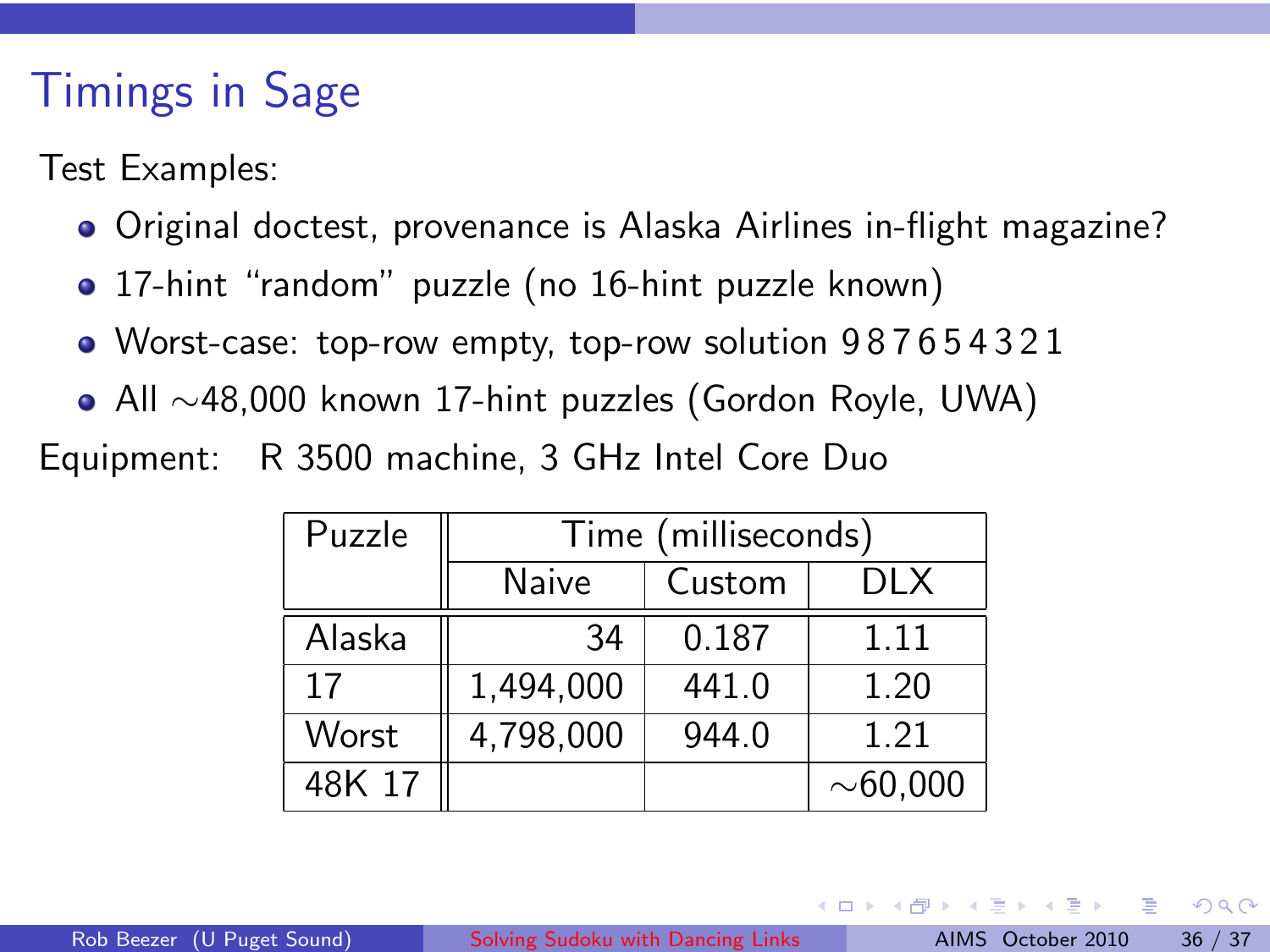# Timings in Sage

Test Examples:

- Original doctest, provenance is Alaska Airlines in-flight magazine?
- 17-hint "random" puzzle (no 16-hint puzzle known)
- Worst-case: top-row empty, top-row solution 9 8 7 6 5 4 3 2 1
- All ∼48,000 known 17-hint puzzles (Gordon Royle, UWA)

Equipment: R 3500 machine, 3 GHz Intel Core Duo

| Puzzle | Time (milliseconds) |        |                |  |  |  |  |  |
|--------|---------------------|--------|----------------|--|--|--|--|--|
|        | Naive               | Custom | DI X           |  |  |  |  |  |
| Alaska | 34                  | 0.187  | 1.11           |  |  |  |  |  |
| 17     | 1,494,000           | 441.0  | 1.20           |  |  |  |  |  |
| Worst  | 4,798,000           | 944.0  | 1.21           |  |  |  |  |  |
| 48K 17 |                     |        | ${\sim}60,000$ |  |  |  |  |  |

- 4 ਜੀ ।